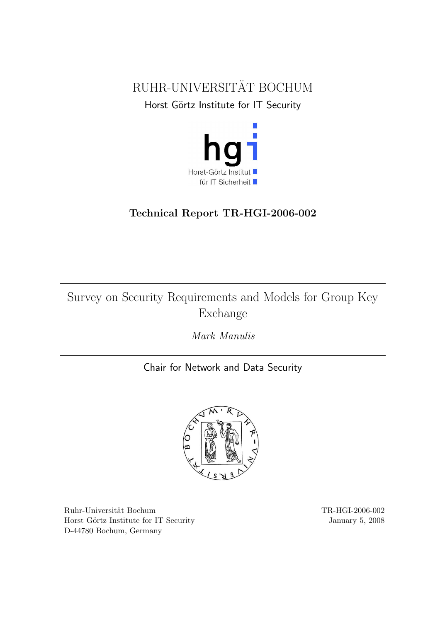<span id="page-0-0"></span>



# Technical Report TR-HGI-2006-002

# Survey on Security Requirements and Models for Group Key Exchange

Mark Manulis

Chair for Network and Data Security



 $\begin{tabular}{p{2cm}c} Ruhr-Universität Bochum\\ \hline \end{tabular}$ Horst Görtz Institute for IT Security January 5, 2008 D-44780 Bochum, Germany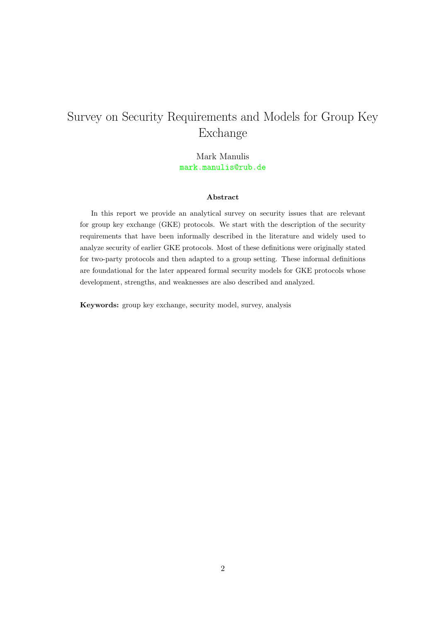# Survey on Security Requirements and Models for Group Key Exchange

Mark Manulis <mark.manulis@rub.de>

#### Abstract

In this report we provide an analytical survey on security issues that are relevant for group key exchange (GKE) protocols. We start with the description of the security requirements that have been informally described in the literature and widely used to analyze security of earlier GKE protocols. Most of these definitions were originally stated for two-party protocols and then adapted to a group setting. These informal definitions are foundational for the later appeared formal security models for GKE protocols whose development, strengths, and weaknesses are also described and analyzed.

Keywords: group key exchange, security model, survey, analysis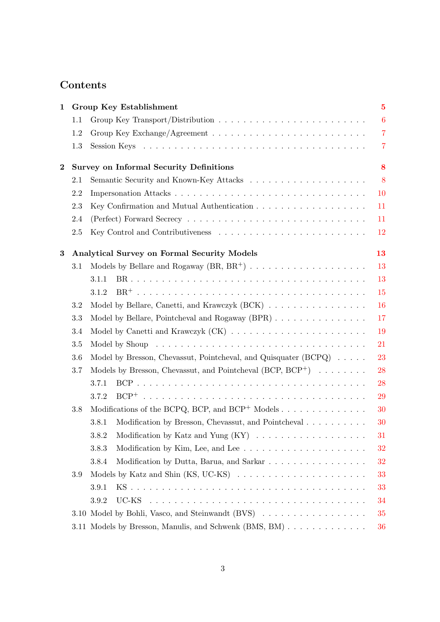# Contents

| 1        | Group Key Establishment |                                                                                                                                                                                                                               |                  |  |  |  |  |
|----------|-------------------------|-------------------------------------------------------------------------------------------------------------------------------------------------------------------------------------------------------------------------------|------------------|--|--|--|--|
|          | 1.1                     |                                                                                                                                                                                                                               | $\boldsymbol{6}$ |  |  |  |  |
|          | 1.2                     |                                                                                                                                                                                                                               | $\overline{7}$   |  |  |  |  |
|          | 1.3                     |                                                                                                                                                                                                                               | $\overline{7}$   |  |  |  |  |
| $\bf{2}$ |                         | <b>Survey on Informal Security Definitions</b>                                                                                                                                                                                | 8                |  |  |  |  |
|          | 2.1                     |                                                                                                                                                                                                                               | 8                |  |  |  |  |
|          | 2.2                     |                                                                                                                                                                                                                               | 10               |  |  |  |  |
|          | 2.3                     | 11                                                                                                                                                                                                                            |                  |  |  |  |  |
|          | 2.4                     |                                                                                                                                                                                                                               | 11               |  |  |  |  |
|          | 2.5                     |                                                                                                                                                                                                                               | 12               |  |  |  |  |
| 3        |                         | <b>Analytical Survey on Formal Security Models</b>                                                                                                                                                                            | 13               |  |  |  |  |
|          | 3.1                     |                                                                                                                                                                                                                               | 13               |  |  |  |  |
|          |                         | 3.1.1                                                                                                                                                                                                                         | 13               |  |  |  |  |
|          |                         | 3.1.2                                                                                                                                                                                                                         | 15               |  |  |  |  |
|          | 3.2                     | Model by Bellare, Canetti, and Krawczyk (BCK)                                                                                                                                                                                 | 16               |  |  |  |  |
|          | 3.3                     | Model by Bellare, Pointcheval and Rogaway (BPR)                                                                                                                                                                               | 17               |  |  |  |  |
|          | 3.4                     |                                                                                                                                                                                                                               | 19               |  |  |  |  |
|          | 3.5                     | Model by Shoup received a series of the series of the series of the series of the series of the series of the series of the series of the series of the series of the series of the series of the series of the series of the | 21               |  |  |  |  |
|          | 3.6                     | Model by Bresson, Chevassut, Pointcheval, and Quisquater $(BCPQ) \dots$ .                                                                                                                                                     | 23               |  |  |  |  |
|          | 3.7                     | Models by Bresson, Chevassut, and Pointcheval $(BCP, BCP^+)$                                                                                                                                                                  | 28               |  |  |  |  |
|          |                         | 3.7.1                                                                                                                                                                                                                         | 28               |  |  |  |  |
|          |                         | 3.7.2                                                                                                                                                                                                                         | 29               |  |  |  |  |
|          | $3.8\,$                 | Modifications of the BCPQ, BCP, and BCP <sup>+</sup> Models                                                                                                                                                                   | 30               |  |  |  |  |
|          |                         | Modification by Bresson, Chevassut, and Pointcheval<br>3.8.1                                                                                                                                                                  | 30               |  |  |  |  |
|          |                         | 3.8.2                                                                                                                                                                                                                         | 31               |  |  |  |  |
|          |                         | 3.8.3<br>Modification by Kim, Lee, and Lee $\dots \dots \dots \dots \dots \dots \dots$                                                                                                                                        | 32               |  |  |  |  |
|          |                         | Modification by Dutta, Barua, and Sarkar<br>3.8.4                                                                                                                                                                             | 32               |  |  |  |  |
|          | 3.9                     |                                                                                                                                                                                                                               | 33               |  |  |  |  |
|          |                         | 3.9.1                                                                                                                                                                                                                         | 33               |  |  |  |  |
|          |                         | 3.9.2                                                                                                                                                                                                                         | 34               |  |  |  |  |
|          |                         | 3.10 Model by Bohli, Vasco, and Steinwandt (BVS)                                                                                                                                                                              | 35               |  |  |  |  |
|          |                         | 3.11 Models by Bresson, Manulis, and Schwenk (BMS, BM)                                                                                                                                                                        | 36               |  |  |  |  |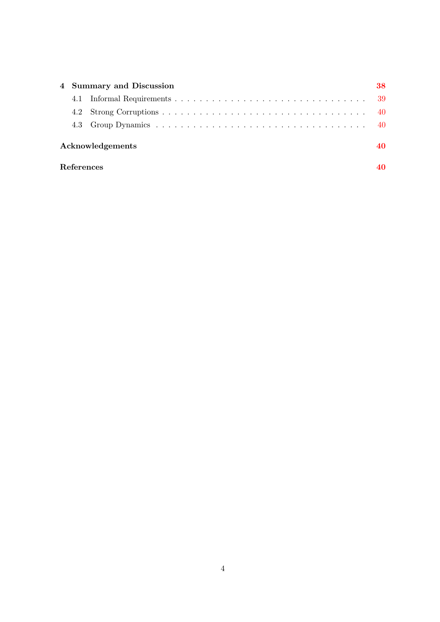|                  |  | 4 Summary and Discussion |  |  |  |  |  |
|------------------|--|--------------------------|--|--|--|--|--|
|                  |  |                          |  |  |  |  |  |
|                  |  |                          |  |  |  |  |  |
|                  |  |                          |  |  |  |  |  |
| Acknowledgements |  |                          |  |  |  |  |  |

# References [40](#page-39-2)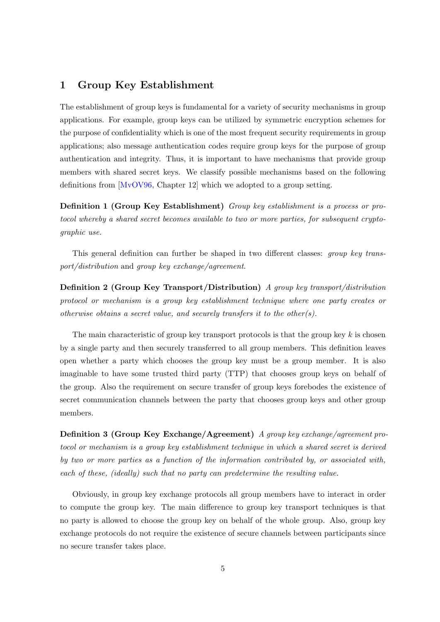# <span id="page-4-1"></span><span id="page-4-0"></span>1 Group Key Establishment

The establishment of group keys is fundamental for a variety of security mechanisms in group applications. For example, group keys can be utilized by symmetric encryption schemes for the purpose of confidentiality which is one of the most frequent security requirements in group applications; also message authentication codes require group keys for the purpose of group authentication and integrity. Thus, it is important to have mechanisms that provide group members with shared secret keys. We classify possible mechanisms based on the following definitions from [\[MvOV96,](#page-44-0) Chapter 12] which we adopted to a group setting.

Definition 1 (Group Key Establishment) Group key establishment is a process or protocol whereby a shared secret becomes available to two or more parties, for subsequent cryptographic use.

This general definition can further be shaped in two different classes: group key transport/distribution and group key exchange/agreement.

Definition 2 (Group Key Transport/Distribution) A group key transport/distribution protocol or mechanism is a group key establishment technique where one party creates or otherwise obtains a secret value, and securely transfers it to the other(s).

The main characteristic of group key transport protocols is that the group key  $k$  is chosen by a single party and then securely transferred to all group members. This definition leaves open whether a party which chooses the group key must be a group member. It is also imaginable to have some trusted third party (TTP) that chooses group keys on behalf of the group. Also the requirement on secure transfer of group keys forebodes the existence of secret communication channels between the party that chooses group keys and other group members.

Definition 3 (Group Key Exchange/Agreement) A group key exchange/agreement protocol or mechanism is a group key establishment technique in which a shared secret is derived by two or more parties as a function of the information contributed by, or associated with, each of these, (ideally) such that no party can predetermine the resulting value.

Obviously, in group key exchange protocols all group members have to interact in order to compute the group key. The main difference to group key transport techniques is that no party is allowed to choose the group key on behalf of the whole group. Also, group key exchange protocols do not require the existence of secure channels between participants since no secure transfer takes place.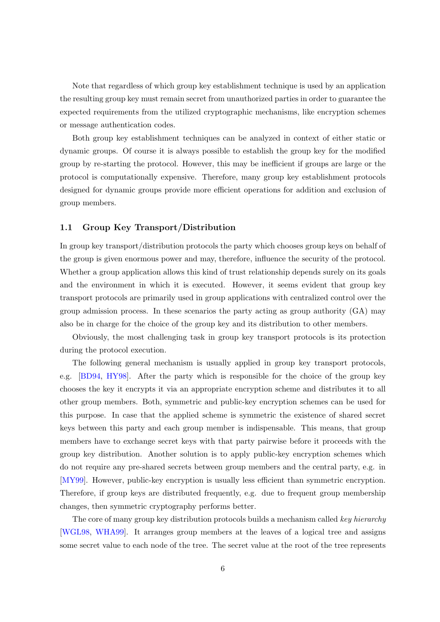<span id="page-5-1"></span>Note that regardless of which group key establishment technique is used by an application the resulting group key must remain secret from unauthorized parties in order to guarantee the expected requirements from the utilized cryptographic mechanisms, like encryption schemes or message authentication codes.

Both group key establishment techniques can be analyzed in context of either static or dynamic groups. Of course it is always possible to establish the group key for the modified group by re-starting the protocol. However, this may be inefficient if groups are large or the protocol is computationally expensive. Therefore, many group key establishment protocols designed for dynamic groups provide more efficient operations for addition and exclusion of group members.

#### <span id="page-5-0"></span>1.1 Group Key Transport/Distribution

In group key transport/distribution protocols the party which chooses group keys on behalf of the group is given enormous power and may, therefore, influence the security of the protocol. Whether a group application allows this kind of trust relationship depends surely on its goals and the environment in which it is executed. However, it seems evident that group key transport protocols are primarily used in group applications with centralized control over the group admission process. In these scenarios the party acting as group authority (GA) may also be in charge for the choice of the group key and its distribution to other members.

Obviously, the most challenging task in group key transport protocols is its protection during the protocol execution.

The following general mechanism is usually applied in group key transport protocols, e.g. [\[BD94,](#page-41-0) [HY98\]](#page-43-0). After the party which is responsible for the choice of the group key chooses the key it encrypts it via an appropriate encryption scheme and distributes it to all other group members. Both, symmetric and public-key encryption schemes can be used for this purpose. In case that the applied scheme is symmetric the existence of shared secret keys between this party and each group member is indispensable. This means, that group members have to exchange secret keys with that party pairwise before it proceeds with the group key distribution. Another solution is to apply public-key encryption schemes which do not require any pre-shared secrets between group members and the central party, e.g. in [\[MY99\]](#page-44-1). However, public-key encryption is usually less efficient than symmetric encryption. Therefore, if group keys are distributed frequently, e.g. due to frequent group membership changes, then symmetric cryptography performs better.

The core of many group key distribution protocols builds a mechanism called key hierarchy [\[WGL98,](#page-45-0) [WHA99\]](#page-45-1). It arranges group members at the leaves of a logical tree and assigns some secret value to each node of the tree. The secret value at the root of the tree represents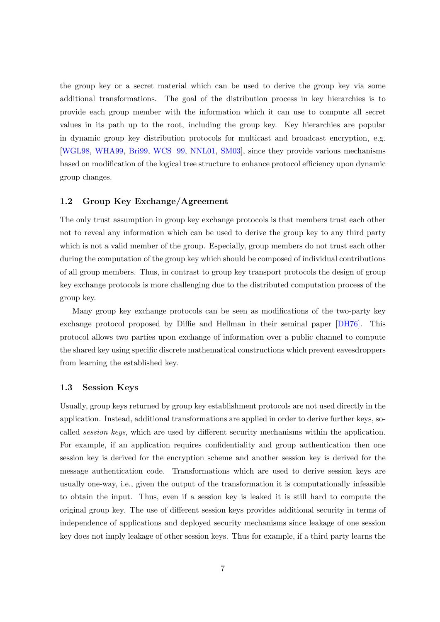<span id="page-6-2"></span>the group key or a secret material which can be used to derive the group key via some additional transformations. The goal of the distribution process in key hierarchies is to provide each group member with the information which it can use to compute all secret values in its path up to the root, including the group key. Key hierarchies are popular in dynamic group key distribution protocols for multicast and broadcast encryption, e.g. [\[WGL98,](#page-45-0) [WHA99,](#page-45-1) [Bri99,](#page-42-0) [WCS](#page-45-2)+99, [NNL01,](#page-45-3) [SM03\]](#page-45-4), since they provide various mechanisms based on modification of the logical tree structure to enhance protocol efficiency upon dynamic group changes.

#### <span id="page-6-0"></span>1.2 Group Key Exchange/Agreement

The only trust assumption in group key exchange protocols is that members trust each other not to reveal any information which can be used to derive the group key to any third party which is not a valid member of the group. Especially, group members do not trust each other during the computation of the group key which should be composed of individual contributions of all group members. Thus, in contrast to group key transport protocols the design of group key exchange protocols is more challenging due to the distributed computation process of the group key.

Many group key exchange protocols can be seen as modifications of the two-party key exchange protocol proposed by Diffie and Hellman in their seminal paper [\[DH76\]](#page-43-1). This protocol allows two parties upon exchange of information over a public channel to compute the shared key using specific discrete mathematical constructions which prevent eavesdroppers from learning the established key.

#### <span id="page-6-1"></span>1.3 Session Keys

Usually, group keys returned by group key establishment protocols are not used directly in the application. Instead, additional transformations are applied in order to derive further keys, socalled session keys, which are used by different security mechanisms within the application. For example, if an application requires confidentiality and group authentication then one session key is derived for the encryption scheme and another session key is derived for the message authentication code. Transformations which are used to derive session keys are usually one-way, i.e., given the output of the transformation it is computationally infeasible to obtain the input. Thus, even if a session key is leaked it is still hard to compute the original group key. The use of different session keys provides additional security in terms of independence of applications and deployed security mechanisms since leakage of one session key does not imply leakage of other session keys. Thus for example, if a third party learns the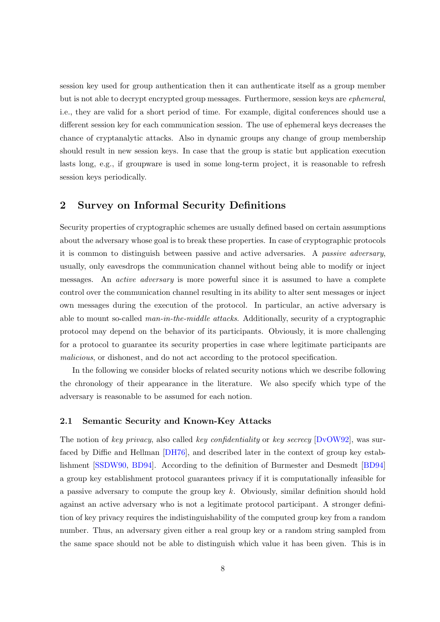<span id="page-7-2"></span>session key used for group authentication then it can authenticate itself as a group member but is not able to decrypt encrypted group messages. Furthermore, session keys are ephemeral, i.e., they are valid for a short period of time. For example, digital conferences should use a different session key for each communication session. The use of ephemeral keys decreases the chance of cryptanalytic attacks. Also in dynamic groups any change of group membership should result in new session keys. In case that the group is static but application execution lasts long, e.g., if groupware is used in some long-term project, it is reasonable to refresh session keys periodically.

# <span id="page-7-0"></span>2 Survey on Informal Security Definitions

Security properties of cryptographic schemes are usually defined based on certain assumptions about the adversary whose goal is to break these properties. In case of cryptographic protocols it is common to distinguish between passive and active adversaries. A passive adversary, usually, only eavesdrops the communication channel without being able to modify or inject messages. An *active adversary* is more powerful since it is assumed to have a complete control over the communication channel resulting in its ability to alter sent messages or inject own messages during the execution of the protocol. In particular, an active adversary is able to mount so-called *man-in-the-middle attacks*. Additionally, security of a cryptographic protocol may depend on the behavior of its participants. Obviously, it is more challenging for a protocol to guarantee its security properties in case where legitimate participants are malicious, or dishonest, and do not act according to the protocol specification.

In the following we consider blocks of related security notions which we describe following the chronology of their appearance in the literature. We also specify which type of the adversary is reasonable to be assumed for each notion.

#### <span id="page-7-1"></span>2.1 Semantic Security and Known-Key Attacks

The notion of key privacy, also called key confidentiality or key secrecy [\[DvOW92\]](#page-43-2), was surfaced by Diffie and Hellman [\[DH76\]](#page-43-1), and described later in the context of group key establishment [\[SSDW90,](#page-45-5) [BD94\]](#page-41-0). According to the definition of Burmester and Desmedt [\[BD94\]](#page-41-0) a group key establishment protocol guarantees privacy if it is computationally infeasible for a passive adversary to compute the group key  $k$ . Obviously, similar definition should hold against an active adversary who is not a legitimate protocol participant. A stronger definition of key privacy requires the indistinguishability of the computed group key from a random number. Thus, an adversary given either a real group key or a random string sampled from the same space should not be able to distinguish which value it has been given. This is in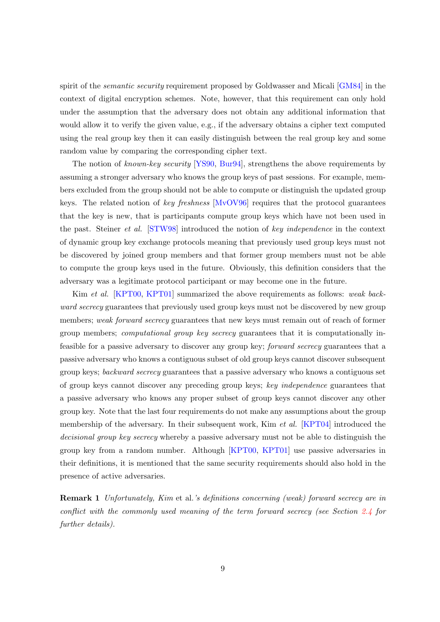<span id="page-8-0"></span>spirit of the *semantic security* requirement proposed by Goldwasser and Micali [\[GM84\]](#page-43-3) in the context of digital encryption schemes. Note, however, that this requirement can only hold under the assumption that the adversary does not obtain any additional information that would allow it to verify the given value, e.g., if the adversary obtains a cipher text computed using the real group key then it can easily distinguish between the real group key and some random value by comparing the corresponding cipher text.

The notion of known-key security [\[YS90,](#page-46-0) [Bur94\]](#page-42-1), strengthens the above requirements by assuming a stronger adversary who knows the group keys of past sessions. For example, members excluded from the group should not be able to compute or distinguish the updated group keys. The related notion of key freshness  $[MvOV96]$  requires that the protocol guarantees that the key is new, that is participants compute group keys which have not been used in the past. Steiner et al. [\[STW98\]](#page-45-6) introduced the notion of key independence in the context of dynamic group key exchange protocols meaning that previously used group keys must not be discovered by joined group members and that former group members must not be able to compute the group keys used in the future. Obviously, this definition considers that the adversary was a legitimate protocol participant or may become one in the future.

Kim et al. [\[KPT00,](#page-44-2) [KPT01\]](#page-44-3) summarized the above requirements as follows: weak backward secrecy guarantees that previously used group keys must not be discovered by new group members; weak forward secrecy guarantees that new keys must remain out of reach of former group members; computational group key secrecy guarantees that it is computationally infeasible for a passive adversary to discover any group key; forward secrecy guarantees that a passive adversary who knows a contiguous subset of old group keys cannot discover subsequent group keys; backward secrecy guarantees that a passive adversary who knows a contiguous set of group keys cannot discover any preceding group keys; key independence guarantees that a passive adversary who knows any proper subset of group keys cannot discover any other group key. Note that the last four requirements do not make any assumptions about the group membership of the adversary. In their subsequent work, Kim *et al.* [\[KPT04\]](#page-44-4) introduced the decisional group key secrecy whereby a passive adversary must not be able to distinguish the group key from a random number. Although [\[KPT00,](#page-44-2) [KPT01\]](#page-44-3) use passive adversaries in their definitions, it is mentioned that the same security requirements should also hold in the presence of active adversaries.

Remark 1 Unfortunately, Kim et al.'s definitions concerning (weak) forward secrecy are in conflict with the commonly used meaning of the term forward secrecy (see Section [2.4](#page-10-1) for further details).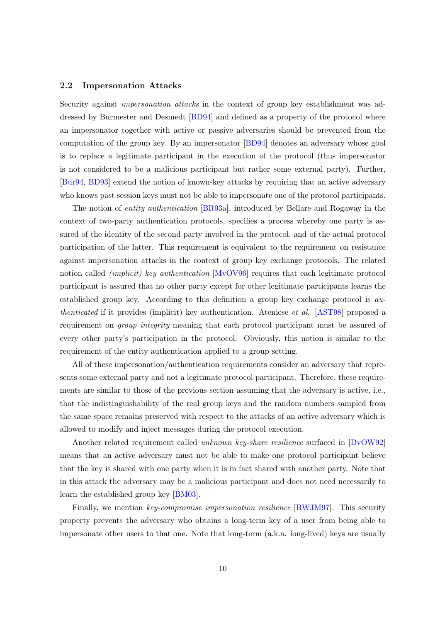#### <span id="page-9-1"></span><span id="page-9-0"></span>2.2 Impersonation Attacks

Security against *impersonation attacks* in the context of group key establishment was addressed by Burmester and Desmedt [\[BD94\]](#page-41-0) and defined as a property of the protocol where an impersonator together with active or passive adversaries should be prevented from the computation of the group key. By an impersonator [\[BD94\]](#page-41-0) denotes an adversary whose goal is to replace a legitimate participant in the execution of the protocol (thus impersonator is not considered to be a malicious participant but rather some external party). Further, [\[Bur94,](#page-42-1) [BD93\]](#page-40-0) extend the notion of known-key attacks by requiring that an active adversary who knows past session keys must not be able to impersonate one of the protocol participants.

The notion of entity authentication [\[BR93a\]](#page-41-1), introduced by Bellare and Rogaway in the context of two-party authentication protocols, specifies a process whereby one party is assured of the identity of the second party involved in the protocol, and of the actual protocol participation of the latter. This requirement is equivalent to the requirement on resistance against impersonation attacks in the context of group key exchange protocols. The related notion called *(implicit) key authentication* [\[MvOV96\]](#page-44-0) requires that each legitimate protocol participant is assured that no other party except for other legitimate participants learns the established group key. According to this definition a group key exchange protocol is authenticated if it provides (implicit) key authentication. Ateniese et al. [\[AST98\]](#page-39-3) proposed a requirement on *group integrity* meaning that each protocol participant must be assured of every other party's participation in the protocol. Obviously, this notion is similar to the requirement of the entity authentication applied to a group setting.

All of these impersonation/authentication requirements consider an adversary that represents some external party and not a legitimate protocol participant. Therefore, these requirements are similar to those of the previous section assuming that the adversary is active, i.e., that the indistinguishability of the real group keys and the random numbers sampled from the same space remains preserved with respect to the attacks of an active adversary which is allowed to modify and inject messages during the protocol execution.

Another related requirement called unknown key-share resilience surfaced in [\[DvOW92\]](#page-43-2) means that an active adversary must not be able to make one protocol participant believe that the key is shared with one party when it is in fact shared with another party. Note that in this attack the adversary may be a malicious participant and does not need necessarily to learn the established group key [\[BM03\]](#page-41-2).

Finally, we mention key-compromise impersonation resilience [\[BWJM97\]](#page-42-2). This security property prevents the adversary who obtains a long-term key of a user from being able to impersonate other users to that one. Note that long-term (a.k.a. long-lived) keys are usually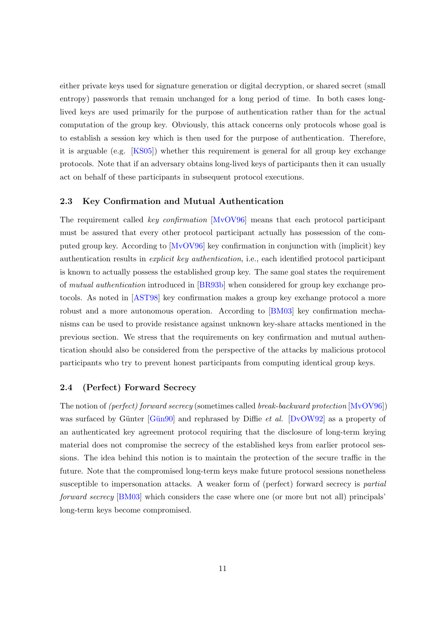<span id="page-10-2"></span>either private keys used for signature generation or digital decryption, or shared secret (small entropy) passwords that remain unchanged for a long period of time. In both cases longlived keys are used primarily for the purpose of authentication rather than for the actual computation of the group key. Obviously, this attack concerns only protocols whose goal is to establish a session key which is then used for the purpose of authentication. Therefore, it is arguable (e.g. [\[KS05\]](#page-44-5)) whether this requirement is general for all group key exchange protocols. Note that if an adversary obtains long-lived keys of participants then it can usually act on behalf of these participants in subsequent protocol executions.

#### <span id="page-10-0"></span>2.3 Key Confirmation and Mutual Authentication

The requirement called key confirmation [\[MvOV96\]](#page-44-0) means that each protocol participant must be assured that every other protocol participant actually has possession of the computed group key. According to [\[MvOV96\]](#page-44-0) key confirmation in conjunction with (implicit) key authentication results in explicit key authentication, i.e., each identified protocol participant is known to actually possess the established group key. The same goal states the requirement of mutual authentication introduced in [\[BR93b\]](#page-41-3) when considered for group key exchange protocols. As noted in [\[AST98\]](#page-39-3) key confirmation makes a group key exchange protocol a more robust and a more autonomous operation. According to [\[BM03\]](#page-41-2) key confirmation mechanisms can be used to provide resistance against unknown key-share attacks mentioned in the previous section. We stress that the requirements on key confirmation and mutual authentication should also be considered from the perspective of the attacks by malicious protocol participants who try to prevent honest participants from computing identical group keys.

#### <span id="page-10-1"></span>2.4 (Perfect) Forward Secrecy

The notion of (perfect) forward secrecy (sometimes called break-backward protection [\[MvOV96\]](#page-44-0)) was surfaced by Günter  $[G\text{un}90]$  and rephrased by Diffie *et al.*  $[DvOW92]$  as a property of an authenticated key agreement protocol requiring that the disclosure of long-term keying material does not compromise the secrecy of the established keys from earlier protocol sessions. The idea behind this notion is to maintain the protection of the secure traffic in the future. Note that the compromised long-term keys make future protocol sessions nonetheless susceptible to impersonation attacks. A weaker form of (perfect) forward secrecy is *partial* forward secrecy [\[BM03\]](#page-41-2) which considers the case where one (or more but not all) principals' long-term keys become compromised.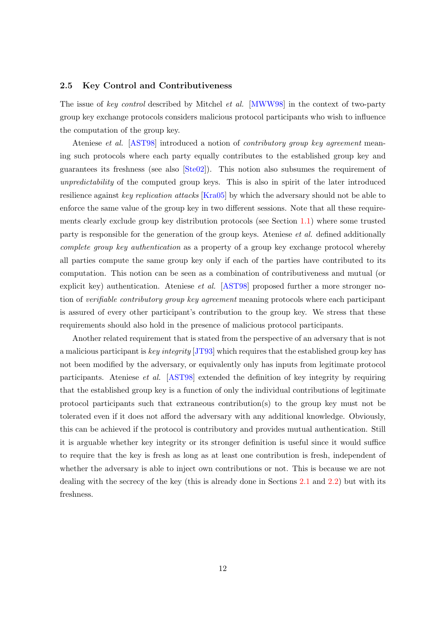#### <span id="page-11-1"></span><span id="page-11-0"></span>2.5 Key Control and Contributiveness

The issue of key control described by Mitchel et al. [\[MWW98\]](#page-44-6) in the context of two-party group key exchange protocols considers malicious protocol participants who wish to influence the computation of the group key.

Ateniese et al. [\[AST98\]](#page-39-3) introduced a notion of contributory group key agreement meaning such protocols where each party equally contributes to the established group key and guarantees its freshness (see also [\[Ste02\]](#page-45-7)). This notion also subsumes the requirement of unpredictability of the computed group keys. This is also in spirit of the later introduced resilience against key replication attacks [\[Kra05\]](#page-44-7) by which the adversary should not be able to enforce the same value of the group key in two different sessions. Note that all these requirements clearly exclude group key distribution protocols (see Section [1.1\)](#page-5-0) where some trusted party is responsible for the generation of the group keys. Ateniese et al. defined additionally complete group key authentication as a property of a group key exchange protocol whereby all parties compute the same group key only if each of the parties have contributed to its computation. This notion can be seen as a combination of contributiveness and mutual (or explicit key) authentication. Ateniese et al. [\[AST98\]](#page-39-3) proposed further a more stronger notion of verifiable contributory group key agreement meaning protocols where each participant is assured of every other participant's contribution to the group key. We stress that these requirements should also hold in the presence of malicious protocol participants.

Another related requirement that is stated from the perspective of an adversary that is not a malicious participant is key integrity [\[JT93\]](#page-43-5) which requires that the established group key has not been modified by the adversary, or equivalently only has inputs from legitimate protocol participants. Ateniese et al. [\[AST98\]](#page-39-3) extended the definition of key integrity by requiring that the established group key is a function of only the individual contributions of legitimate protocol participants such that extraneous contribution(s) to the group key must not be tolerated even if it does not afford the adversary with any additional knowledge. Obviously, this can be achieved if the protocol is contributory and provides mutual authentication. Still it is arguable whether key integrity or its stronger definition is useful since it would suffice to require that the key is fresh as long as at least one contribution is fresh, independent of whether the adversary is able to inject own contributions or not. This is because we are not dealing with the secrecy of the key (this is already done in Sections [2.1](#page-7-1) and [2.2\)](#page-9-0) but with its freshness.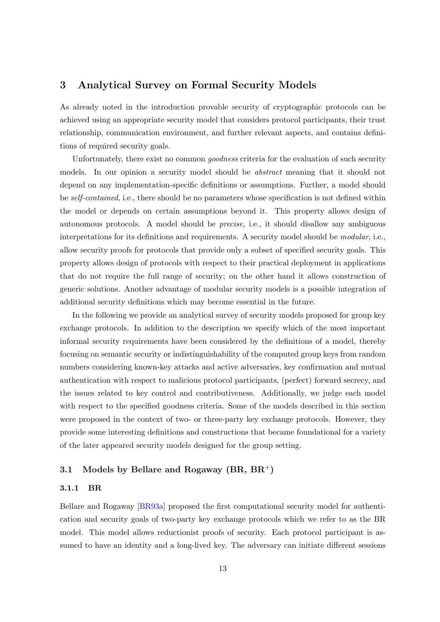# <span id="page-12-3"></span><span id="page-12-0"></span>3 Analytical Survey on Formal Security Models

As already noted in the introduction provable security of cryptographic protocols can be achieved using an appropriate security model that considers protocol participants, their trust relationship, communication environment, and further relevant aspects, and contains definitions of required security goals.

Unfortunately, there exist no common goodness criteria for the evaluation of such security models. In our opinion a security model should be *abstract* meaning that it should not depend on any implementation-specific definitions or assumptions. Further, a model should be self-contained, i.e., there should be no parameters whose specification is not defined within the model or depends on certain assumptions beyond it. This property allows design of autonomous protocols. A model should be precise, i.e., it should disallow any ambiguous interpretations for its definitions and requirements. A security model should be modular, i.e., allow security proofs for protocols that provide only a subset of specified security goals. This property allows design of protocols with respect to their practical deployment in applications that do not require the full range of security; on the other hand it allows construction of generic solutions. Another advantage of modular security models is a possible integration of additional security definitions which may become essential in the future.

In the following we provide an analytical survey of security models proposed for group key exchange protocols. In addition to the description we specify which of the most important informal security requirements have been considered by the definitions of a model, thereby focusing on semantic security or indistinguishability of the computed group keys from random numbers considering known-key attacks and active adversaries, key confirmation and mutual authentication with respect to malicious protocol participants, (perfect) forward secrecy, and the issues related to key control and contributiveness. Additionally, we judge each model with respect to the specified goodness criteria. Some of the models described in this section were proposed in the context of two- or three-party key exchange protocols. However, they provide some interesting definitions and constructions that became foundational for a variety of the later appeared security models designed for the group setting.

## <span id="page-12-1"></span>3.1 Models by Bellare and Rogaway  $(BR, BR^+)$

#### <span id="page-12-2"></span>3.1.1 BR

Bellare and Rogaway [\[BR93a\]](#page-41-1) proposed the first computational security model for authentication and security goals of two-party key exchange protocols which we refer to as the BR model. This model allows reductionist proofs of security. Each protocol participant is assumed to have an identity and a long-lived key. The adversary can initiate different sessions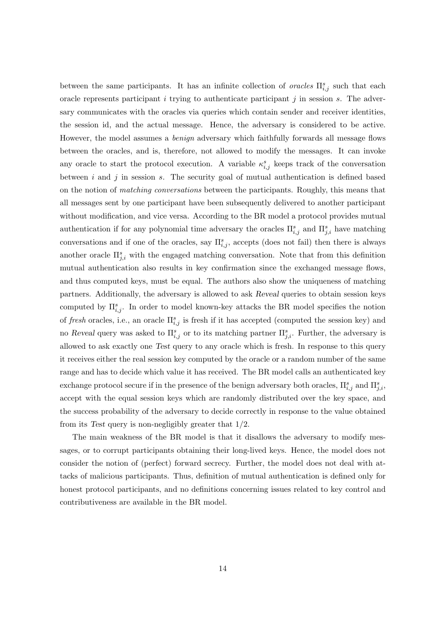between the same participants. It has an infinite collection of *oracles*  $\Pi_{i,j}^s$  such that each oracle represents participant i trying to authenticate participant j in session s. The adversary communicates with the oracles via queries which contain sender and receiver identities, the session id, and the actual message. Hence, the adversary is considered to be active. However, the model assumes a *benign* adversary which faithfully forwards all message flows between the oracles, and is, therefore, not allowed to modify the messages. It can invoke any oracle to start the protocol execution. A variable  $\kappa_{i,j}^s$  keeps track of the conversation between  $i$  and  $j$  in session  $s$ . The security goal of mutual authentication is defined based on the notion of matching conversations between the participants. Roughly, this means that all messages sent by one participant have been subsequently delivered to another participant without modification, and vice versa. According to the BR model a protocol provides mutual authentication if for any polynomial time adversary the oracles  $\Pi_{i,j}^s$  and  $\Pi_{j,i}^s$  have matching conversations and if one of the oracles, say  $\Pi_{i,j}^s$ , accepts (does not fail) then there is always another oracle  $\Pi_{j,i}^s$  with the engaged matching conversation. Note that from this definition mutual authentication also results in key confirmation since the exchanged message flows, and thus computed keys, must be equal. The authors also show the uniqueness of matching partners. Additionally, the adversary is allowed to ask Reveal queries to obtain session keys computed by  $\Pi_{i,j}^s$ . In order to model known-key attacks the BR model specifies the notion of fresh oracles, i.e., an oracle  $\Pi_{i,j}^s$  is fresh if it has accepted (computed the session key) and no Reveal query was asked to  $\Pi_{i,j}^s$  or to its matching partner  $\Pi_{j,i}^s$ . Further, the adversary is allowed to ask exactly one Test query to any oracle which is fresh. In response to this query it receives either the real session key computed by the oracle or a random number of the same range and has to decide which value it has received. The BR model calls an authenticated key exchange protocol secure if in the presence of the benign adversary both oracles,  $\Pi_{i,j}^s$  and  $\Pi_{j,i}^s$ , accept with the equal session keys which are randomly distributed over the key space, and the success probability of the adversary to decide correctly in response to the value obtained from its Test query is non-negligibly greater that 1/2.

The main weakness of the BR model is that it disallows the adversary to modify messages, or to corrupt participants obtaining their long-lived keys. Hence, the model does not consider the notion of (perfect) forward secrecy. Further, the model does not deal with attacks of malicious participants. Thus, definition of mutual authentication is defined only for honest protocol participants, and no definitions concerning issues related to key control and contributiveness are available in the BR model.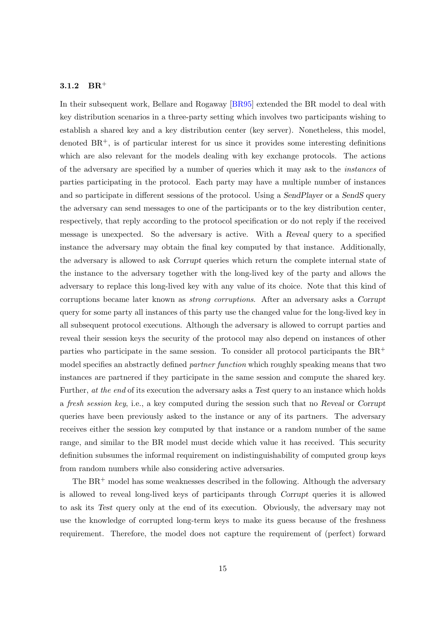## <span id="page-14-1"></span><span id="page-14-0"></span>3.1.2  $BR^+$

In their subsequent work, Bellare and Rogaway [\[BR95\]](#page-41-4) extended the BR model to deal with key distribution scenarios in a three-party setting which involves two participants wishing to establish a shared key and a key distribution center (key server). Nonetheless, this model, denoted  $BR^+$ , is of particular interest for us since it provides some interesting definitions which are also relevant for the models dealing with key exchange protocols. The actions of the adversary are specified by a number of queries which it may ask to the instances of parties participating in the protocol. Each party may have a multiple number of instances and so participate in different sessions of the protocol. Using a SendPlayer or a SendS query the adversary can send messages to one of the participants or to the key distribution center, respectively, that reply according to the protocol specification or do not reply if the received message is unexpected. So the adversary is active. With a Reveal query to a specified instance the adversary may obtain the final key computed by that instance. Additionally, the adversary is allowed to ask Corrupt queries which return the complete internal state of the instance to the adversary together with the long-lived key of the party and allows the adversary to replace this long-lived key with any value of its choice. Note that this kind of corruptions became later known as strong corruptions. After an adversary asks a Corrupt query for some party all instances of this party use the changed value for the long-lived key in all subsequent protocol executions. Although the adversary is allowed to corrupt parties and reveal their session keys the security of the protocol may also depend on instances of other parties who participate in the same session. To consider all protocol participants the  $BR^+$ model specifies an abstractly defined *partner function* which roughly speaking means that two instances are partnered if they participate in the same session and compute the shared key. Further, at the end of its execution the adversary asks a Test query to an instance which holds a fresh session key, i.e., a key computed during the session such that no Reveal or Corrupt queries have been previously asked to the instance or any of its partners. The adversary receives either the session key computed by that instance or a random number of the same range, and similar to the BR model must decide which value it has received. This security definition subsumes the informal requirement on indistinguishability of computed group keys from random numbers while also considering active adversaries.

The  $BR<sup>+</sup>$  model has some weaknesses described in the following. Although the adversary is allowed to reveal long-lived keys of participants through Corrupt queries it is allowed to ask its Test query only at the end of its execution. Obviously, the adversary may not use the knowledge of corrupted long-term keys to make its guess because of the freshness requirement. Therefore, the model does not capture the requirement of (perfect) forward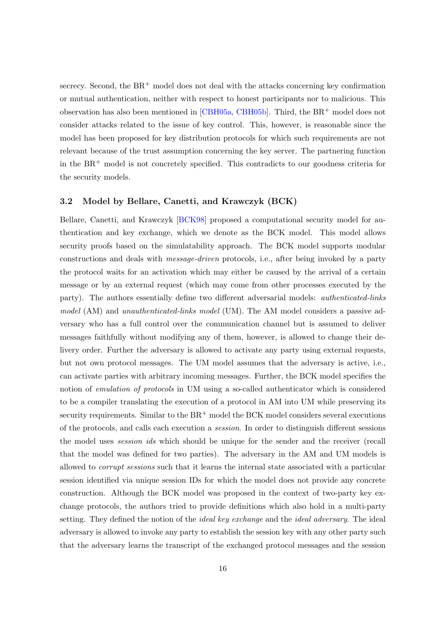<span id="page-15-1"></span>secrecy. Second, the  $BR^+$  model does not deal with the attacks concerning key confirmation or mutual authentication, neither with respect to honest participants nor to malicious. This observation has also been mentioned in [\[CBH05a,](#page-42-3) [CBH05b\]](#page-42-4). Third, the BR<sup>+</sup> model does not consider attacks related to the issue of key control. This, however, is reasonable since the model has been proposed for key distribution protocols for which such requirements are not relevant because of the trust assumption concerning the key server. The partnering function in the  $BR<sup>+</sup>$  model is not concretely specified. This contradicts to our goodness criteria for the security models.

#### <span id="page-15-0"></span>3.2 Model by Bellare, Canetti, and Krawczyk (BCK)

Bellare, Canetti, and Krawczyk [\[BCK98\]](#page-40-1) proposed a computational security model for authentication and key exchange, which we denote as the BCK model. This model allows security proofs based on the simulatability approach. The BCK model supports modular constructions and deals with message-driven protocols, i.e., after being invoked by a party the protocol waits for an activation which may either be caused by the arrival of a certain message or by an external request (which may come from other processes executed by the party). The authors essentially define two different adversarial models: authenticated-links model (AM) and unauthenticated-links model (UM). The AM model considers a passive adversary who has a full control over the communication channel but is assumed to deliver messages faithfully without modifying any of them, however, is allowed to change their delivery order. Further the adversary is allowed to activate any party using external requests, but not own protocol messages. The UM model assumes that the adversary is active, i.e., can activate parties with arbitrary incoming messages. Further, the BCK model specifies the notion of *emulation of protocols* in UM using a so-called authenticator which is considered to be a compiler translating the execution of a protocol in AM into UM while preserving its security requirements. Similar to the  $BR<sup>+</sup>$  model the BCK model considers several executions of the protocols, and calls each execution a session. In order to distinguish different sessions the model uses session ids which should be unique for the sender and the receiver (recall that the model was defined for two parties). The adversary in the AM and UM models is allowed to corrupt sessions such that it learns the internal state associated with a particular session identified via unique session IDs for which the model does not provide any concrete construction. Although the BCK model was proposed in the context of two-party key exchange protocols, the authors tried to provide definitions which also hold in a multi-party setting. They defined the notion of the *ideal key exchange* and the *ideal adversary*. The ideal adversary is allowed to invoke any party to establish the session key with any other party such that the adversary learns the transcript of the exchanged protocol messages and the session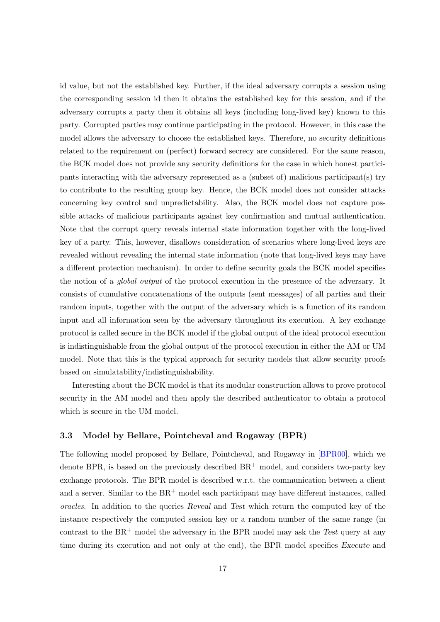<span id="page-16-1"></span>id value, but not the established key. Further, if the ideal adversary corrupts a session using the corresponding session id then it obtains the established key for this session, and if the adversary corrupts a party then it obtains all keys (including long-lived key) known to this party. Corrupted parties may continue participating in the protocol. However, in this case the model allows the adversary to choose the established keys. Therefore, no security definitions related to the requirement on (perfect) forward secrecy are considered. For the same reason, the BCK model does not provide any security definitions for the case in which honest participants interacting with the adversary represented as a (subset of) malicious participant(s) try to contribute to the resulting group key. Hence, the BCK model does not consider attacks concerning key control and unpredictability. Also, the BCK model does not capture possible attacks of malicious participants against key confirmation and mutual authentication. Note that the corrupt query reveals internal state information together with the long-lived key of a party. This, however, disallows consideration of scenarios where long-lived keys are revealed without revealing the internal state information (note that long-lived keys may have a different protection mechanism). In order to define security goals the BCK model specifies the notion of a global output of the protocol execution in the presence of the adversary. It consists of cumulative concatenations of the outputs (sent messages) of all parties and their random inputs, together with the output of the adversary which is a function of its random input and all information seen by the adversary throughout its execution. A key exchange protocol is called secure in the BCK model if the global output of the ideal protocol execution is indistinguishable from the global output of the protocol execution in either the AM or UM model. Note that this is the typical approach for security models that allow security proofs based on simulatability/indistinguishability.

Interesting about the BCK model is that its modular construction allows to prove protocol security in the AM model and then apply the described authenticator to obtain a protocol which is secure in the UM model.

# <span id="page-16-0"></span>3.3 Model by Bellare, Pointcheval and Rogaway (BPR)

The following model proposed by Bellare, Pointcheval, and Rogaway in [\[BPR00\]](#page-41-5), which we denote BPR, is based on the previously described  $BR^+$  model, and considers two-party key exchange protocols. The BPR model is described w.r.t. the communication between a client and a server. Similar to the  $BR<sup>+</sup>$  model each participant may have different instances, called oracles. In addition to the queries Reveal and Test which return the computed key of the instance respectively the computed session key or a random number of the same range (in contrast to the  $BR^+$  model the adversary in the BPR model may ask the Test query at any time during its execution and not only at the end), the BPR model specifies Execute and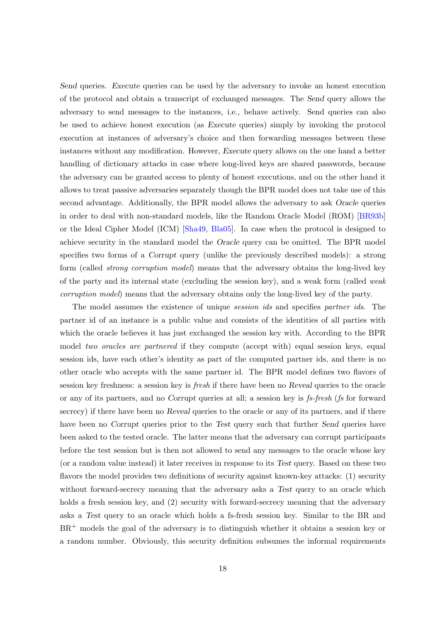<span id="page-17-0"></span>Send queries. Execute queries can be used by the adversary to invoke an honest execution of the protocol and obtain a transcript of exchanged messages. The Send query allows the adversary to send messages to the instances, i.e., behave actively. Send queries can also be used to achieve honest execution (as Execute queries) simply by invoking the protocol execution at instances of adversary's choice and then forwarding messages between these instances without any modification. However, Execute query allows on the one hand a better handling of dictionary attacks in case where long-lived keys are shared passwords, because the adversary can be granted access to plenty of honest executions, and on the other hand it allows to treat passive adversaries separately though the BPR model does not take use of this second advantage. Additionally, the BPR model allows the adversary to ask Oracle queries in order to deal with non-standard models, like the Random Oracle Model (ROM) [\[BR93b\]](#page-41-3) or the Ideal Cipher Model (ICM) [\[Sha49,](#page-45-8) [Bla05\]](#page-41-6). In case when the protocol is designed to achieve security in the standard model the Oracle query can be omitted. The BPR model specifies two forms of a Corrupt query (unlike the previously described models): a strong form (called strong corruption model) means that the adversary obtains the long-lived key of the party and its internal state (excluding the session key), and a weak form (called weak corruption model) means that the adversary obtains only the long-lived key of the party.

The model assumes the existence of unique session ids and specifies partner ids. The partner id of an instance is a public value and consists of the identities of all parties with which the oracle believes it has just exchanged the session key with. According to the BPR model two oracles are partnered if they compute (accept with) equal session keys, equal session ids, have each other's identity as part of the computed partner ids, and there is no other oracle who accepts with the same partner id. The BPR model defines two flavors of session key freshness: a session key is *fresh* if there have been no Reveal queries to the oracle or any of its partners, and no Corrupt queries at all; a session key is fs-fresh (fs for forward secrecy) if there have been no Reveal queries to the oracle or any of its partners, and if there have been no Corrupt queries prior to the Test query such that further Send queries have been asked to the tested oracle. The latter means that the adversary can corrupt participants before the test session but is then not allowed to send any messages to the oracle whose key (or a random value instead) it later receives in response to its Test query. Based on these two flavors the model provides two definitions of security against known-key attacks: (1) security without forward-secrecy meaning that the adversary asks a Test query to an oracle which holds a fresh session key, and (2) security with forward-secrecy meaning that the adversary asks a Test query to an oracle which holds a fs-fresh session key. Similar to the BR and  $BR<sup>+</sup>$  models the goal of the adversary is to distinguish whether it obtains a session key or a random number. Obviously, this security definition subsumes the informal requirements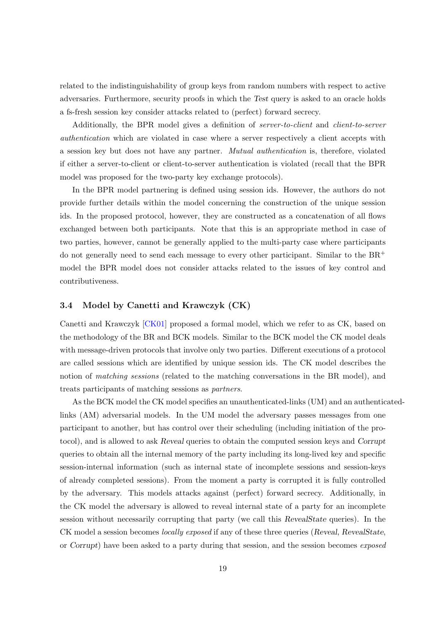<span id="page-18-1"></span>related to the indistinguishability of group keys from random numbers with respect to active adversaries. Furthermore, security proofs in which the Test query is asked to an oracle holds a fs-fresh session key consider attacks related to (perfect) forward secrecy.

Additionally, the BPR model gives a definition of server-to-client and client-to-server authentication which are violated in case where a server respectively a client accepts with a session key but does not have any partner. Mutual authentication is, therefore, violated if either a server-to-client or client-to-server authentication is violated (recall that the BPR model was proposed for the two-party key exchange protocols).

In the BPR model partnering is defined using session ids. However, the authors do not provide further details within the model concerning the construction of the unique session ids. In the proposed protocol, however, they are constructed as a concatenation of all flows exchanged between both participants. Note that this is an appropriate method in case of two parties, however, cannot be generally applied to the multi-party case where participants do not generally need to send each message to every other participant. Similar to the  $BR^+$ model the BPR model does not consider attacks related to the issues of key control and contributiveness.

# <span id="page-18-0"></span>3.4 Model by Canetti and Krawczyk (CK)

Canetti and Krawczyk [\[CK01\]](#page-42-5) proposed a formal model, which we refer to as CK, based on the methodology of the BR and BCK models. Similar to the BCK model the CK model deals with message-driven protocols that involve only two parties. Different executions of a protocol are called sessions which are identified by unique session ids. The CK model describes the notion of *matching sessions* (related to the matching conversations in the BR model), and treats participants of matching sessions as partners.

As the BCK model the CK model specifies an unauthenticated-links (UM) and an authenticatedlinks (AM) adversarial models. In the UM model the adversary passes messages from one participant to another, but has control over their scheduling (including initiation of the protocol), and is allowed to ask Reveal queries to obtain the computed session keys and Corrupt queries to obtain all the internal memory of the party including its long-lived key and specific session-internal information (such as internal state of incomplete sessions and session-keys of already completed sessions). From the moment a party is corrupted it is fully controlled by the adversary. This models attacks against (perfect) forward secrecy. Additionally, in the CK model the adversary is allowed to reveal internal state of a party for an incomplete session without necessarily corrupting that party (we call this RevealState queries). In the CK model a session becomes *locally exposed* if any of these three queries (Reveal, RevealState, or Corrupt) have been asked to a party during that session, and the session becomes exposed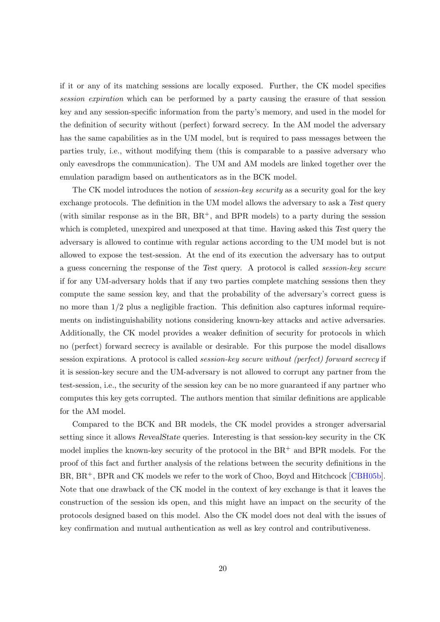<span id="page-19-0"></span>if it or any of its matching sessions are locally exposed. Further, the CK model specifies session expiration which can be performed by a party causing the erasure of that session key and any session-specific information from the party's memory, and used in the model for the definition of security without (perfect) forward secrecy. In the AM model the adversary has the same capabilities as in the UM model, but is required to pass messages between the parties truly, i.e., without modifying them (this is comparable to a passive adversary who only eavesdrops the communication). The UM and AM models are linked together over the emulation paradigm based on authenticators as in the BCK model.

The CK model introduces the notion of *session-key security* as a security goal for the key exchange protocols. The definition in the UM model allows the adversary to ask a Test query (with similar response as in the  $BR$ ,  $BR^+$ , and  $BPR$  models) to a party during the session which is completed, unexpired and unexposed at that time. Having asked this Test query the adversary is allowed to continue with regular actions according to the UM model but is not allowed to expose the test-session. At the end of its execution the adversary has to output a guess concerning the response of the Test query. A protocol is called session-key secure if for any UM-adversary holds that if any two parties complete matching sessions then they compute the same session key, and that the probability of the adversary's correct guess is no more than  $1/2$  plus a negligible fraction. This definition also captures informal requirements on indistinguishability notions considering known-key attacks and active adversaries. Additionally, the CK model provides a weaker definition of security for protocols in which no (perfect) forward secrecy is available or desirable. For this purpose the model disallows session expirations. A protocol is called *session-key secure without (perfect) forward secrecy* if it is session-key secure and the UM-adversary is not allowed to corrupt any partner from the test-session, i.e., the security of the session key can be no more guaranteed if any partner who computes this key gets corrupted. The authors mention that similar definitions are applicable for the AM model.

Compared to the BCK and BR models, the CK model provides a stronger adversarial setting since it allows RevealState queries. Interesting is that session-key security in the CK model implies the known-key security of the protocol in the  $BR^+$  and  $BPR$  models. For the proof of this fact and further analysis of the relations between the security definitions in the BR, BR<sup>+</sup>, BPR and CK models we refer to the work of Choo, Boyd and Hitchcock [\[CBH05b\]](#page-42-4). Note that one drawback of the CK model in the context of key exchange is that it leaves the construction of the session ids open, and this might have an impact on the security of the protocols designed based on this model. Also the CK model does not deal with the issues of key confirmation and mutual authentication as well as key control and contributiveness.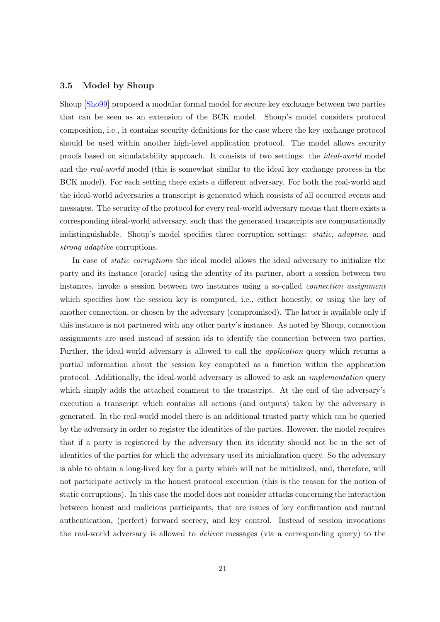#### <span id="page-20-1"></span><span id="page-20-0"></span>3.5 Model by Shoup

Shoup [\[Sho99\]](#page-45-9) proposed a modular formal model for secure key exchange between two parties that can be seen as an extension of the BCK model. Shoup's model considers protocol composition, i.e., it contains security definitions for the case where the key exchange protocol should be used within another high-level application protocol. The model allows security proofs based on simulatability approach. It consists of two settings: the ideal-world model and the real-world model (this is somewhat similar to the ideal key exchange process in the BCK model). For each setting there exists a different adversary. For both the real-world and the ideal-world adversaries a transcript is generated which consists of all occurred events and messages. The security of the protocol for every real-world adversary means that there exists a corresponding ideal-world adversary, such that the generated transcripts are computationally indistinguishable. Shoup's model specifies three corruption settings: static, adaptive, and strong adaptive corruptions.

In case of *static corruptions* the ideal model allows the ideal adversary to initialize the party and its instance (oracle) using the identity of its partner, abort a session between two instances, invoke a session between two instances using a so-called connection assignment which specifies how the session key is computed, i.e., either honestly, or using the key of another connection, or chosen by the adversary (compromised). The latter is available only if this instance is not partnered with any other party's instance. As noted by Shoup, connection assignments are used instead of session ids to identify the connection between two parties. Further, the ideal-world adversary is allowed to call the application query which returns a partial information about the session key computed as a function within the application protocol. Additionally, the ideal-world adversary is allowed to ask an implementation query which simply adds the attached comment to the transcript. At the end of the adversary's execution a transcript which contains all actions (and outputs) taken by the adversary is generated. In the real-world model there is an additional trusted party which can be queried by the adversary in order to register the identities of the parties. However, the model requires that if a party is registered by the adversary then its identity should not be in the set of identities of the parties for which the adversary used its initialization query. So the adversary is able to obtain a long-lived key for a party which will not be initialized, and, therefore, will not participate actively in the honest protocol execution (this is the reason for the notion of static corruptions). In this case the model does not consider attacks concerning the interaction between honest and malicious participants, that are issues of key confirmation and mutual authentication, (perfect) forward secrecy, and key control. Instead of session invocations the real-world adversary is allowed to deliver messages (via a corresponding query) to the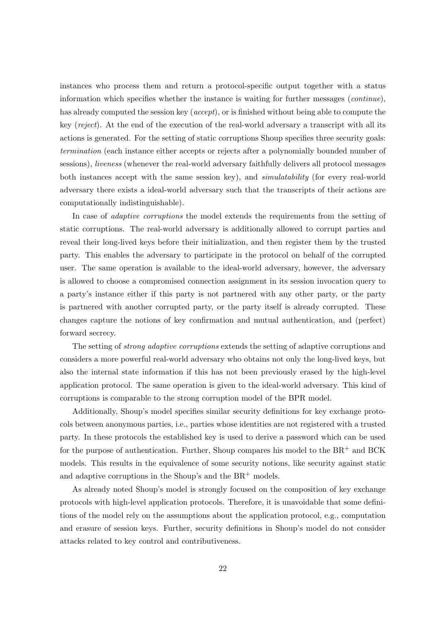instances who process them and return a protocol-specific output together with a status information which specifies whether the instance is waiting for further messages (continue), has already computed the session key (*accept*), or is finished without being able to compute the key (reject). At the end of the execution of the real-world adversary a transcript with all its actions is generated. For the setting of static corruptions Shoup specifies three security goals: termination (each instance either accepts or rejects after a polynomially bounded number of sessions), liveness (whenever the real-world adversary faithfully delivers all protocol messages both instances accept with the same session key), and simulatability (for every real-world adversary there exists a ideal-world adversary such that the transcripts of their actions are computationally indistinguishable).

In case of *adaptive corruptions* the model extends the requirements from the setting of static corruptions. The real-world adversary is additionally allowed to corrupt parties and reveal their long-lived keys before their initialization, and then register them by the trusted party. This enables the adversary to participate in the protocol on behalf of the corrupted user. The same operation is available to the ideal-world adversary, however, the adversary is allowed to choose a compromised connection assignment in its session invocation query to a party's instance either if this party is not partnered with any other party, or the party is partnered with another corrupted party, or the party itself is already corrupted. These changes capture the notions of key confirmation and mutual authentication, and (perfect) forward secrecy.

The setting of strong adaptive corruptions extends the setting of adaptive corruptions and considers a more powerful real-world adversary who obtains not only the long-lived keys, but also the internal state information if this has not been previously erased by the high-level application protocol. The same operation is given to the ideal-world adversary. This kind of corruptions is comparable to the strong corruption model of the BPR model.

Additionally, Shoup's model specifies similar security definitions for key exchange protocols between anonymous parties, i.e., parties whose identities are not registered with a trusted party. In these protocols the established key is used to derive a password which can be used for the purpose of authentication. Further, Shoup compares his model to the  $BR^+$  and  $BCK$ models. This results in the equivalence of some security notions, like security against static and adaptive corruptions in the Shoup's and the  $BR^+$  models.

As already noted Shoup's model is strongly focused on the composition of key exchange protocols with high-level application protocols. Therefore, it is unavoidable that some definitions of the model rely on the assumptions about the application protocol, e.g., computation and erasure of session keys. Further, security definitions in Shoup's model do not consider attacks related to key control and contributiveness.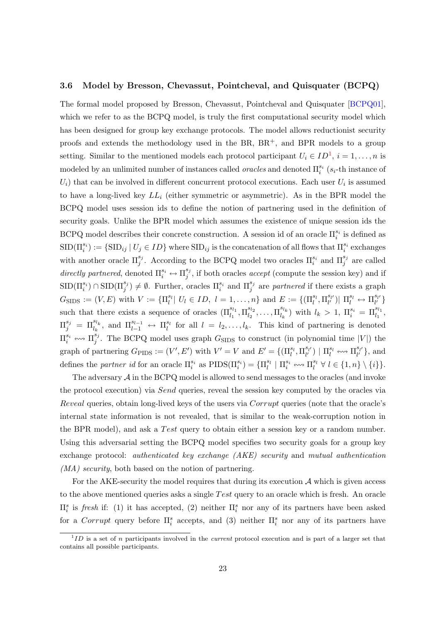#### <span id="page-22-1"></span><span id="page-22-0"></span>3.6 Model by Bresson, Chevassut, Pointcheval, and Quisquater (BCPQ)

The formal model proposed by Bresson, Chevassut, Pointcheval and Quisquater [\[BCPQ01\]](#page-40-2), which we refer to as the BCPQ model, is truly the first computational security model which has been designed for group key exchange protocols. The model allows reductionist security proofs and extends the methodology used in the BR,  $BR^+$ , and BPR models to a group setting. Similar to the mentioned models each protocol participant  $U_i \in ID^1$  $U_i \in ID^1$ ,  $i = 1, ..., n$  is modeled by an unlimited number of instances called *oracles* and denoted  $\Pi_i^{s_i}$  ( $s_i$ -th instance of  $U_i$ ) that can be involved in different concurrent protocol executions. Each user  $U_i$  is assumed to have a long-lived key  $LL_i$  (either symmetric or asymmetric). As in the BPR model the BCPQ model uses session ids to define the notion of partnering used in the definition of security goals. Unlike the BPR model which assumes the existence of unique session ids the BCPQ model describes their concrete construction. A session id of an oracle  $\Pi_i^{s_i}$  is defined as  $\text{SID}(\Pi_i^{s_i}) := \{\text{SID}_{ij} | U_j \in ID \}$  where  $\text{SID}_{ij}$  is the concatenation of all flows that  $\Pi_i^{s_i}$  exchanges with another oracle  $\Pi_j^{s_j}$ . According to the BCPQ model two oracles  $\Pi_i^{s_i}$  and  $\Pi_j^{s_j}$  are called directly partnered, denoted  $\Pi_i^{s_i} \leftrightarrow \Pi_j^{s_j}$  $j^{s_j}$ , if both oracles *accept* (compute the session key) and if  $\text{SID}(\Pi_i^{s_i}) \cap \text{SID}(\Pi_j^{s_j}) \neq \emptyset$ . Further, oracles  $\Pi_i^{s_i}$  and  $\Pi_j^{s_j}$  are partnered if there exists a graph  $G_{\text{SIDS}} := (V, E) \text{ with } V := \{\Pi_l^{s_l} | U_l \in ID, l = 1, \ldots, n\} \text{ and } E := \{(\Pi_l^{s_l}, \Pi_{l'}^{s_{l'}}) | \Pi_l^{s_l} \leftrightarrow \Pi_{l'}^{s_{l'}}\}$ such that there exists a sequence of oracles  $(\Pi_{l_1}^{s_{l_1}}, \Pi_{l_2}^{s_{l_2}})$  $\frac{1}{l_2}^{sl_2}, \ldots, \prod_{l_k}^{sl_k}$  $\binom{s_{l_k}}{l_k}$  with  $l_k > 1$ ,  $\Pi_i^{s_i} = \Pi_{l_1}^{s_{l_1}},$  $\Pi_j^{s_j} = \Pi_{l_k}^{s_{l_k}}$ , and  $\Pi_{l-1}^{s_{l-1}} \leftrightarrow \Pi_l^{s_l}$  for all  $l = l_2, \ldots, l_k$ . This kind of partnering is denoted  $\Pi_i^{s_i} \leftrightsquigarrow \Pi_j^{s_j}$ <sup>s<sub>j</sub></sup>. The BCPQ model uses graph  $G_{\text{SIDS}}$  to construct (in polynomial time |V|) the graph of partnering  $G_{\text{PIDS}} := (V', E')$  with  $V' = V$  and  $E' = \{(\Pi_l^{s_l}, \Pi_{l'}^{s_{l'}}) \mid \Pi_l^{s_l} \leftrightarrow \Pi_{l'}^{s_{l'}}\}$ , and defines the partner id for an oracle  $\Pi_i^{s_i}$  as  $\text{PIDS}(\Pi_i^{s_i}) = {\Pi_i^{s_i} \mid \Pi_i^{s_i} \iff \Pi_i^{s_i} \forall l \in \{1, n\} \setminus \{i\}}.$ 

The adversary  $A$  in the BCPQ model is allowed to send messages to the oracles (and invoke the protocol execution) via Send queries, reveal the session key computed by the oracles via Reveal queries, obtain long-lived keys of the users via Corrupt queries (note that the oracle's internal state information is not revealed, that is similar to the weak-corruption notion in the BPR model), and ask a Test query to obtain either a session key or a random number. Using this adversarial setting the BCPQ model specifies two security goals for a group key exchange protocol: authenticated key exchange (AKE) security and mutual authentication (MA) security, both based on the notion of partnering.

For the AKE-security the model requires that during its execution  $A$  which is given access to the above mentioned queries asks a single  $Test$  query to an oracle which is fresh. An oracle  $\Pi_i^s$  is *fresh* if: (1) it has accepted, (2) neither  $\Pi_i^s$  nor any of its partners have been asked for a Corrupt query before  $\Pi_i^s$  accepts, and (3) neither  $\Pi_i^s$  nor any of its partners have

 ${}^{1}ID$  is a set of n participants involved in the *current* protocol execution and is part of a larger set that contains all possible participants.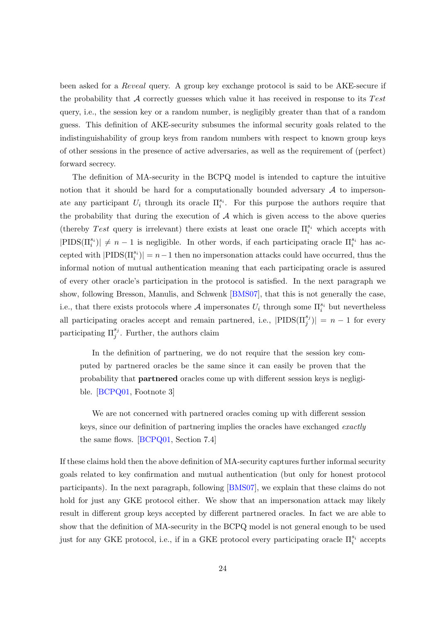<span id="page-23-0"></span>been asked for a Reveal query. A group key exchange protocol is said to be AKE-secure if the probability that  $\mathcal A$  correctly guesses which value it has received in response to its Test query, i.e., the session key or a random number, is negligibly greater than that of a random guess. This definition of AKE-security subsumes the informal security goals related to the indistinguishability of group keys from random numbers with respect to known group keys of other sessions in the presence of active adversaries, as well as the requirement of (perfect) forward secrecy.

The definition of MA-security in the BCPQ model is intended to capture the intuitive notion that it should be hard for a computationally bounded adversary  $A$  to impersonate any participant  $U_i$  through its oracle  $\Pi_i^{s_i}$ . For this purpose the authors require that the probability that during the execution of  $A$  which is given access to the above queries (thereby Test query is irrelevant) there exists at least one oracle  $\Pi_i^{s_i}$  which accepts with  $|\text{PIDS}(\Pi_i^{s_i})| \neq n-1$  is negligible. In other words, if each participating oracle  $\Pi_i^{s_i}$  has accepted with  $|PIDS(\Pi_i^{s_i})| = n-1$  then no impersonation attacks could have occurred, thus the informal notion of mutual authentication meaning that each participating oracle is assured of every other oracle's participation in the protocol is satisfied. In the next paragraph we show, following Bresson, Manulis, and Schwenk [\[BMS07\]](#page-41-7), that this is not generally the case, i.e., that there exists protocols where A impersonates  $U_i$  through some  $\Pi_i^{s_i}$  but nevertheless all participating oracles accept and remain partnered, i.e.,  $|\text{PIDS}(\Pi_j^{s_j})| = n - 1$  for every participating  $\Pi_j^{s_j}$ . Further, the authors claim

In the definition of partnering, we do not require that the session key computed by partnered oracles be the same since it can easily be proven that the probability that partnered oracles come up with different session keys is negligible. [\[BCPQ01,](#page-40-2) Footnote 3]

We are not concerned with partnered oracles coming up with different session keys, since our definition of partnering implies the oracles have exchanged exactly the same flows. [\[BCPQ01,](#page-40-2) Section 7.4]

If these claims hold then the above definition of MA-security captures further informal security goals related to key confirmation and mutual authentication (but only for honest protocol participants). In the next paragraph, following [\[BMS07\]](#page-41-7), we explain that these claims do not hold for just any GKE protocol either. We show that an impersonation attack may likely result in different group keys accepted by different partnered oracles. In fact we are able to show that the definition of MA-security in the BCPQ model is not general enough to be used just for any GKE protocol, i.e., if in a GKE protocol every participating oracle  $\Pi_i^{s_i}$  accepts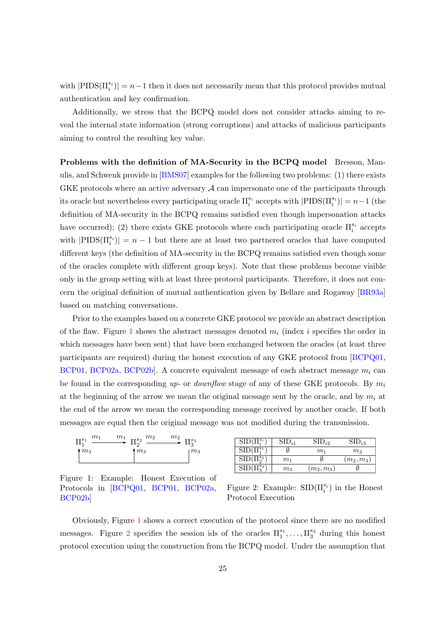<span id="page-24-2"></span>with  $|\text{PIDS}(\Pi_i^{s_i})| = n-1$  then it does not necessarily mean that this protocol provides mutual authentication and key confirmation.

Additionally, we stress that the BCPQ model does not consider attacks aiming to reveal the internal state information (strong corruptions) and attacks of malicious participants aiming to control the resulting key value.

Problems with the definition of MA-Security in the BCPQ model Bresson, Manulis, and Schwenk provide in [\[BMS07\]](#page-41-7) examples for the following two problems: (1) there exists GKE protocols where an active adversary  $A$  can impersonate one of the participants through its oracle but nevertheless every participating oracle  $\Pi_i^{s_i}$  accepts with  $|\text{PIDS}(\Pi_i^{s_i})| = n-1$  (the definition of MA-security in the BCPQ remains satisfied even though impersonation attacks have occurred); (2) there exists GKE protocols where each participating oracle  $\Pi_i^{s_i}$  accepts with  $|PIDS(\Pi_i^{s_i})|=n-1$  but there are at least two partnered oracles that have computed different keys (the definition of MA-security in the BCPQ remains satisfied even though some of the oracles complete with different group keys). Note that these problems become visible only in the group setting with at least three protocol participants. Therefore, it does not concern the original definition of mutual authentication given by Bellare and Rogaway [\[BR93a\]](#page-41-1) based on matching conversations.

Prior to the examples based on a concrete GKE protocol we provide an abstract description of the flaw. Figure [1](#page-24-0) shows the abstract messages denoted  $m_i$  (index i specifies the order in which messages have been sent) that have been exchanged between the oracles (at least three participants are required) during the honest execution of any GKE protocol from [\[BCPQ01,](#page-40-2) [BCP01,](#page-40-3) [BCP02a,](#page-40-4) BCP02b. A concrete equivalent message of each abstract message  $m_i$  can be found in the corresponding up- or *downflow* stage of any of these GKE protocols. By  $m_i$ at the beginning of the arrow we mean the original message sent by the oracle, and by  $m_i$  at the end of the arrow we mean the corresponding message received by another oracle. If both messages are equal then the original message was not modified during the transmission.



<span id="page-24-0"></span>Figure 1: Example: Honest Execution of Protocols in [\[BCPQ01,](#page-40-2) [BCP01,](#page-40-3) [BCP02a,](#page-40-4) [BCP02b\]](#page-40-5)

| SID(                       | ${\rm SID}_{i1}$ | $\mathbf{D}_{i2}$ | $D_{i3}$    |
|----------------------------|------------------|-------------------|-------------|
| SID(                       |                  | $m_1$             | $m_3$       |
| $\mathbf{T}^{s_2}$<br>SID( | m <sub>1</sub>   |                   | $(m_2,m_3)$ |
|                            | $m_3$            | $(m_2, m_3)$      |             |

<span id="page-24-1"></span>Figure 2: Example:  $\text{SID}(\Pi_i^{s_i})$  in the Honest Protocol Execution

Obviously, Figure [1](#page-24-0) shows a correct execution of the protocol since there are no modified messages. Figure [2](#page-24-1) specifies the session ids of the oracles  $\Pi_1^{s_1}, \ldots, \Pi_3^{s_3}$  during this honest protocol execution using the construction from the BCPQ model. Under the assumption that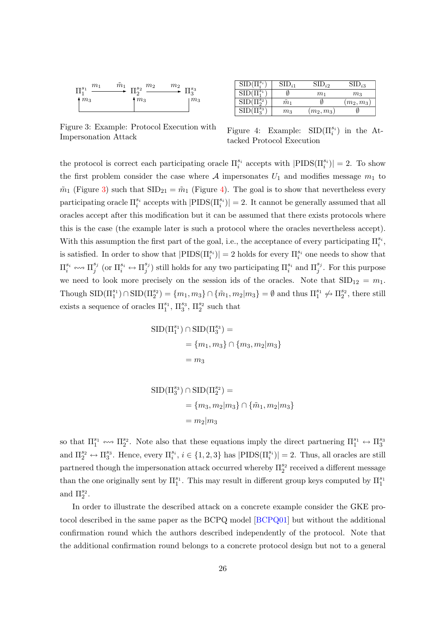<span id="page-25-2"></span>

 $\overline{\mathrm{SID}(\Pi^s}$  $\overline{\text{SID}_{i1}}$   $\overline{\text{SID}_{i2}}$   $\overline{\text{SID}_{i3}}$  $\mathrm{SID}(\Pi_1^{s_1}$ )  $\qquad \qquad \emptyset \qquad \qquad m_1 \qquad \qquad m_3$  $\overline{\mathrm{SID}(\Pi_2^{s_2}}$  $\frac{\tilde{m}_1}{m_3}$   $\frac{\emptyset}{(m_2, m_3)}$   $\frac{\emptyset}{\emptyset}$  $\overline{\mathrm{SID}(\Pi^{s_3}_3}$  $(m_2, m_3)$ 

<span id="page-25-0"></span>Figure 3: Example: Protocol Execution with

<span id="page-25-1"></span>Figure 4: Example:  $\text{SID}(\Pi_i^{s_i})$  in the Attacked Protocol Execution

the protocol is correct each participating oracle  $\Pi_i^{s_i}$  accepts with  $|\text{PIDS}(\Pi_i^{s_i})| = 2$ . To show the first problem consider the case where A impersonates  $U_1$  and modifies message  $m_1$  to  $\tilde{m}_1$  (Figure [3\)](#page-25-0) such that  $\text{SID}_{21} = \tilde{m}_1$  (Figure [4\)](#page-25-1). The goal is to show that nevertheless every participating oracle  $\Pi_i^{s_i}$  accepts with  $|\text{PIDS}(\Pi_i^{s_i})| = 2$ . It cannot be generally assumed that all oracles accept after this modification but it can be assumed that there exists protocols where this is the case (the example later is such a protocol where the oracles nevertheless accept). With this assumption the first part of the goal, i.e., the acceptance of every participating  $\Pi_i^{s_i}$ , is satisfied. In order to show that  $|\text{PIDS}(\Pi_i^{s_i})|=2$  holds for every  $\Pi_i^{s_i}$  one needs to show that  $\Pi_i^{s_i} \leftrightsquigarrow \Pi_j^{s_j}$  $_j^{s_j}$  (or  $\Pi_i^{s_i} \leftrightarrow \Pi_j^{s_j}$  $j^{s_j}$ ) still holds for any two participating  $\Pi_i^{s_i}$  and  $\Pi_j^{s_j}$ . For this purpose we need to look more precisely on the session ids of the oracles. Note that  $\text{SID}_{12} = m_1$ . Though  $\text{SID}(\Pi_1^{s_1}) \cap \text{SID}(\Pi_2^{s_2}) = \{m_1, m_3\} \cap \{\tilde{m}_1, m_2 | m_3\} = \emptyset$  and thus  $\Pi_1^{s_1} \nleftrightarrow \Pi_2^{s_2}$ , there still exists a sequence of oracles  $\Pi_1^{s_1}$ ,  $\Pi_3^{s_3}$ ,  $\Pi_2^{s_2}$  such that

$$
SID(\Pi_1^{s_1}) \cap SID(\Pi_3^{s_3}) =
$$
  
= {m<sub>1</sub>, m<sub>3</sub>}  $\cap$  {m<sub>3</sub>, m<sub>2</sub>|m<sub>3</sub>}  
= m<sub>3</sub>

$$
\begin{aligned} \text{SID}(\Pi_3^{s_3}) \cap \text{SID}(\Pi_2^{s_2}) &= \\ &= \{m_3, m_2 | m_3 \} \cap \{\tilde{m}_1, m_2 | m_3 \} \\ &= m_2 | m_3 \end{aligned}
$$

so that  $\Pi_1^{s_1} \leftrightarrow \Pi_2^{s_2}$ . Note also that these equations imply the direct partnering  $\Pi_1^{s_1} \leftrightarrow \Pi_3^{s_3}$ and  $\Pi_2^{s_2} \leftrightarrow \Pi_3^{s_3}$ . Hence, every  $\Pi_i^{s_i}$ ,  $i \in \{1, 2, 3\}$  has  $|\text{PIDS}(\Pi_i^{s_i})| = 2$ . Thus, all oracles are still partnered though the impersonation attack occurred whereby  $\Pi_2^{s_2}$  received a different message than the one originally sent by  $\Pi_1^{s_1}$ . This may result in different group keys computed by  $\Pi_1^{s_1}$ and  $\Pi_2^{s_2}$ .

In order to illustrate the described attack on a concrete example consider the GKE protocol described in the same paper as the BCPQ model [\[BCPQ01\]](#page-40-2) but without the additional confirmation round which the authors described independently of the protocol. Note that the additional confirmation round belongs to a concrete protocol design but not to a general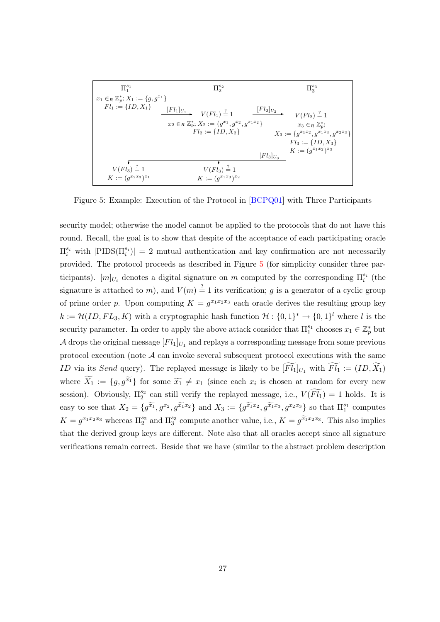<span id="page-26-1"></span>
$$
\begin{array}{|c|c|} \hline \Pi_1^{s_1} & \Pi_2^{s_2} & \Pi_3^{s_3} \\ \hline x_1 \in_R \mathbb{Z}_p^*; X_1 := \{g, g^{x_1}\} & & & & & & & & & & \\ \hline \hline \end{array}
$$
\n
$$
Fl_1 := \{ID, X_1\} \begin{array}{c} [Fl_1]_{U_1} & \cdots & [Fl_1]_{U_2} & \cdots & [Fl_2]_{U_2} \\ \hline \end{array}
$$
\n
$$
V(Fl_1) \stackrel{?}{=} 1 \begin{array}{c} [Fl_2]_{U_2} & \cdots & [Fl_2]_{U_2} \\ \hline \end{array}
$$
\n
$$
V(Fl_2) \stackrel{?}{=} 1 \begin{array}{c} x_3 \in_R \mathbb{Z}_p^*; \\ \hline \end{array}
$$
\n
$$
Fl_2 := \{ID, X_2\} \begin{array}{c} X_3 := \{g^{x_1 x_2}, g^{x_1 x_3}, g^{x_2 x_3}\} \\ \hline \end{array}
$$
\n
$$
Fl_3 := \{ID, X_3\} \begin{array}{c} [Fl_3]_{U_3} & & & & & & & \\ \hline \end{array}
$$
\n
$$
V(Fl_3) \stackrel{?}{=} 1 \begin{array}{c} V(Fl_3) \stackrel{?}{=} 1 \\ \cdots & \cdots & [Fl_3]_{U_3} \end{array}
$$
\n
$$
K := (g^{x_1 x_2})^{x_3}
$$

<span id="page-26-0"></span>Figure 5: Example: Execution of the Protocol in [\[BCPQ01\]](#page-40-2) with Three Participants

security model; otherwise the model cannot be applied to the protocols that do not have this round. Recall, the goal is to show that despite of the acceptance of each participating oracle  $\Pi_i^{s_i}$  with  $|\text{PIDS}(\Pi_i^{s_i})| = 2$  mutual authentication and key confirmation are not necessarily provided. The protocol proceeds as described in Figure [5](#page-26-0) (for simplicity consider three participants).  $[m]_{U_i}$  denotes a digital signature on m computed by the corresponding  $\Pi_i^{s_i}$  (the signature is attached to m), and  $V(m) \stackrel{?}{=} 1$  its verification; g is a generator of a cyclic group of prime order p. Upon computing  $K = g^{x_1 x_2 x_3}$  each oracle derives the resulting group key  $k := \mathcal{H}(ID, FL_3, K)$  with a cryptographic hash function  $\mathcal{H}: \{0,1\}^* \to \{0,1\}^l$  where l is the security parameter. In order to apply the above attack consider that  $\Pi_1^{s_1}$  chooses  $x_1 \in \mathbb{Z}_p^*$  but  $\mathcal A$  drops the original message  $[Fl_1]_{U_1}$  and replays a corresponding message from some previous protocol execution (note  $A$  can invoke several subsequent protocol executions with the same ID via its Send query). The replayed message is likely to be  $\widetilde{[Fl_1]}_{U_1}$  with  $\widetilde{Fl_1} := (ID, \widetilde{X_1})$ where  $\widetilde{X}_1 := \{g, g^{\widetilde{x}_1}\}\)$  for some  $\widetilde{x}_1 \neq x_1$  (since each  $x_i$  is chosen at random for every new session). Obviously,  $\Pi_2^{s_2}$  can still verify the replayed message, i.e.,  $V(\widetilde{Fl_1}) = 1$  holds. It is easy to see that  $X_2 = \{g^{\widetilde{x_1}}, g^{x_2}, g^{\widetilde{x_1}x_2}\}\$ and  $X_3 := \{g^{\widetilde{x_1}x_2}, g^{\widetilde{x_1}x_3}, g^{x_2x_3}\}\$  so that  $\Pi_1^{s_1}$  computes  $K = g^{x_1x_2x_3}$  whereas  $\Pi_2^{s_2}$  and  $\Pi_3^{s_3}$  compute another value, i.e.,  $K = g^{\widetilde{x_1}x_2x_3}$ . This also implies that the derived group keys are different. Note also that all oracles accept since all signature verifications remain correct. Beside that we have (similar to the abstract problem description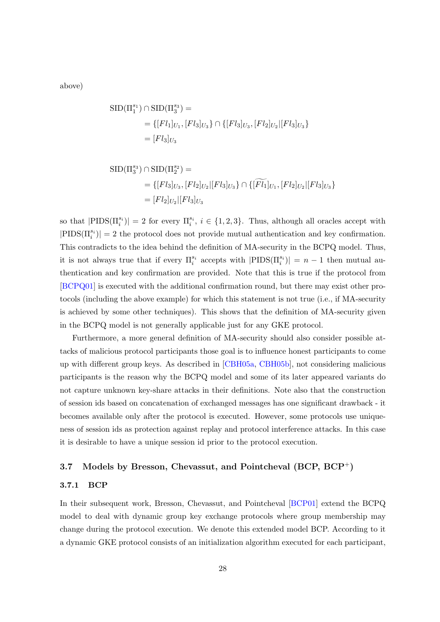<span id="page-27-2"></span>above)

$$
\begin{aligned} \text{SID}(\Pi_1^{s_1}) \cap \text{SID}(\Pi_3^{s_3}) &= \\ &= \{ [Fl_1]_{U_1}, [Fl_3]_{U_3} \} \cap \{ [Fl_3]_{U_3}, [Fl_2]_{U_2} | [Fl_3]_{U_3} \} \\ &= [Fl_3]_{U_3} \end{aligned}
$$

$$
\begin{aligned} \text{SID}(\Pi_3^{s_3}) \cap \text{SID}(\Pi_2^{s_2}) &= \\ &= \{[Fl_3]_{U_3}, [Fl_2]_{U_2} | [Fl_3]_{U_3}\} \cap \{[\widetilde{Fl_1}]_{U_1}, [Fl_2]_{U_2} | [Fl_3]_{U_3}\} \\ &= [Fl_2]_{U_2} | [Fl_3]_{U_3} \end{aligned}
$$

so that  $|PIDS(\Pi_i^{s_i})|=2$  for every  $\Pi_i^{s_i}, i \in \{1,2,3\}$ . Thus, although all oracles accept with  $|\text{PIDS}(\Pi_i^{s_i})|=2$  the protocol does not provide mutual authentication and key confirmation. This contradicts to the idea behind the definition of MA-security in the BCPQ model. Thus, it is not always true that if every  $\Pi_i^{s_i}$  accepts with  $|\text{PIDS}(\Pi_i^{s_i})| = n - 1$  then mutual authentication and key confirmation are provided. Note that this is true if the protocol from [\[BCPQ01\]](#page-40-2) is executed with the additional confirmation round, but there may exist other protocols (including the above example) for which this statement is not true (i.e., if MA-security is achieved by some other techniques). This shows that the definition of MA-security given in the BCPQ model is not generally applicable just for any GKE protocol.

Furthermore, a more general definition of MA-security should also consider possible attacks of malicious protocol participants those goal is to influence honest participants to come up with different group keys. As described in [\[CBH05a,](#page-42-3) [CBH05b\]](#page-42-4), not considering malicious participants is the reason why the BCPQ model and some of its later appeared variants do not capture unknown key-share attacks in their definitions. Note also that the construction of session ids based on concatenation of exchanged messages has one significant drawback - it becomes available only after the protocol is executed. However, some protocols use uniqueness of session ids as protection against replay and protocol interference attacks. In this case it is desirable to have a unique session id prior to the protocol execution.

### <span id="page-27-0"></span>3.7 Models by Bresson, Chevassut, and Pointcheval (BCP, BCP<sup>+</sup>)

### <span id="page-27-1"></span>3.7.1 BCP

In their subsequent work, Bresson, Chevassut, and Pointcheval [\[BCP01\]](#page-40-3) extend the BCPQ model to deal with dynamic group key exchange protocols where group membership may change during the protocol execution. We denote this extended model BCP. According to it a dynamic GKE protocol consists of an initialization algorithm executed for each participant,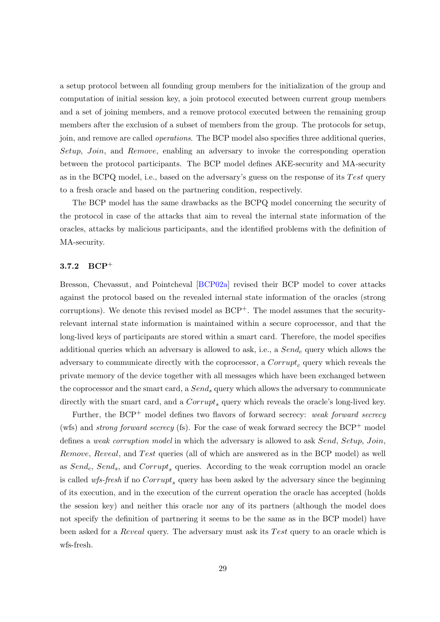<span id="page-28-1"></span>a setup protocol between all founding group members for the initialization of the group and computation of initial session key, a join protocol executed between current group members and a set of joining members, and a remove protocol executed between the remaining group members after the exclusion of a subset of members from the group. The protocols for setup, join, and remove are called operations. The BCP model also specifies three additional queries, Setup, Join, and Remove, enabling an adversary to invoke the corresponding operation between the protocol participants. The BCP model defines AKE-security and MA-security as in the BCPQ model, i.e., based on the adversary's guess on the response of its Test query to a fresh oracle and based on the partnering condition, respectively.

The BCP model has the same drawbacks as the BCPQ model concerning the security of the protocol in case of the attacks that aim to reveal the internal state information of the oracles, attacks by malicious participants, and the identified problems with the definition of MA-security.

#### <span id="page-28-0"></span>3.7.2 BCP<sup>+</sup>

Bresson, Chevassut, and Pointcheval [\[BCP02a\]](#page-40-4) revised their BCP model to cover attacks against the protocol based on the revealed internal state information of the oracles (strong corruptions). We denote this revised model as  $BCP^+$ . The model assumes that the securityrelevant internal state information is maintained within a secure coprocessor, and that the long-lived keys of participants are stored within a smart card. Therefore, the model specifies additional queries which an adversary is allowed to ask, i.e., a  $Send_c$  query which allows the adversary to communicate directly with the coprocessor, a  $Corrupt_c$  query which reveals the private memory of the device together with all messages which have been exchanged between the coprocessor and the smart card, a  $Send_s$  query which allows the adversary to communicate directly with the smart card, and a  $Corrupt_s$  query which reveals the oracle's long-lived key.

Further, the  $BCP^+$  model defines two flavors of forward secrecy: weak forward secrecy (wfs) and *strong forward secrecy* (fs). For the case of weak forward secrecy the  $BCP^+$  model defines a weak corruption model in which the adversary is allowed to ask Send, Setup, Join, Remove, Reveal, and Test queries (all of which are answered as in the BCP model) as well as  $Send_c$ ,  $Send_s$ , and  $Corrupt_s$  queries. According to the weak corruption model an oracle is called wfs-fresh if no  $Corrupt_s$  query has been asked by the adversary since the beginning of its execution, and in the execution of the current operation the oracle has accepted (holds the session key) and neither this oracle nor any of its partners (although the model does not specify the definition of partnering it seems to be the same as in the BCP model) have been asked for a *Reveal* query. The adversary must ask its Test query to an oracle which is wfs-fresh.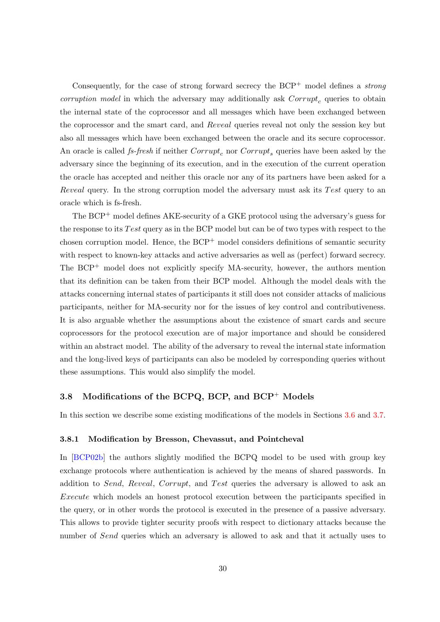<span id="page-29-2"></span>Consequently, for the case of strong forward secrecy the  $BCP^+$  model defines a *strong* corruption model in which the adversary may additionally ask  $Corrupt_c$  queries to obtain the internal state of the coprocessor and all messages which have been exchanged between the coprocessor and the smart card, and Reveal queries reveal not only the session key but also all messages which have been exchanged between the oracle and its secure coprocessor. An oracle is called *fs-fresh* if neither  $Corrupt<sub>c</sub>$  nor  $Corrupt<sub>s</sub>$  queries have been asked by the adversary since the beginning of its execution, and in the execution of the current operation the oracle has accepted and neither this oracle nor any of its partners have been asked for a Reveal query. In the strong corruption model the adversary must ask its Test query to an oracle which is fs-fresh.

The BCP<sup>+</sup> model defines AKE-security of a GKE protocol using the adversary's guess for the response to its Test query as in the BCP model but can be of two types with respect to the chosen corruption model. Hence, the  $BCP^+$  model considers definitions of semantic security with respect to known-key attacks and active adversaries as well as (perfect) forward secrecy. The  $BCP^+$  model does not explicitly specify MA-security, however, the authors mention that its definition can be taken from their BCP model. Although the model deals with the attacks concerning internal states of participants it still does not consider attacks of malicious participants, neither for MA-security nor for the issues of key control and contributiveness. It is also arguable whether the assumptions about the existence of smart cards and secure coprocessors for the protocol execution are of major importance and should be considered within an abstract model. The ability of the adversary to reveal the internal state information and the long-lived keys of participants can also be modeled by corresponding queries without these assumptions. This would also simplify the model.

## <span id="page-29-0"></span>3.8 Modifications of the BCPQ, BCP, and  $BCP<sup>+</sup>$  Models

In this section we describe some existing modifications of the models in Sections [3.6](#page-22-0) and [3.7.](#page-27-0)

#### <span id="page-29-1"></span>3.8.1 Modification by Bresson, Chevassut, and Pointcheval

In [\[BCP02b\]](#page-40-5) the authors slightly modified the BCPQ model to be used with group key exchange protocols where authentication is achieved by the means of shared passwords. In addition to Send, Reveal, Corrupt, and Test queries the adversary is allowed to ask an Execute which models an honest protocol execution between the participants specified in the query, or in other words the protocol is executed in the presence of a passive adversary. This allows to provide tighter security proofs with respect to dictionary attacks because the number of Send queries which an adversary is allowed to ask and that it actually uses to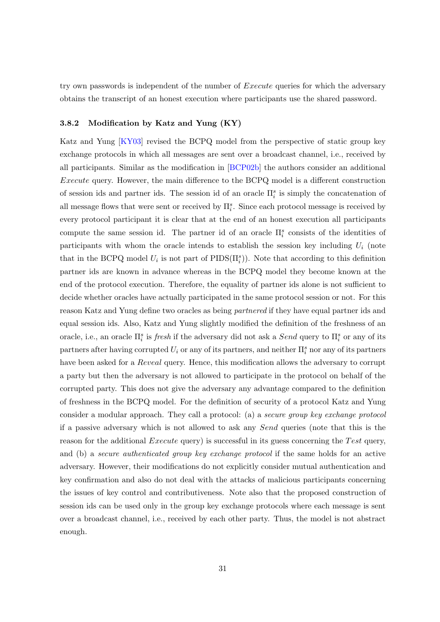<span id="page-30-1"></span>try own passwords is independent of the number of *Execute* queries for which the adversary obtains the transcript of an honest execution where participants use the shared password.

#### <span id="page-30-0"></span>3.8.2 Modification by Katz and Yung (KY)

Katz and Yung [\[KY03\]](#page-44-8) revised the BCPQ model from the perspective of static group key exchange protocols in which all messages are sent over a broadcast channel, i.e., received by all participants. Similar as the modification in [\[BCP02b\]](#page-40-5) the authors consider an additional Execute query. However, the main difference to the BCPQ model is a different construction of session ids and partner ids. The session id of an oracle  $\Pi_i^s$  is simply the concatenation of all message flows that were sent or received by  $\Pi_i^s$ . Since each protocol message is received by every protocol participant it is clear that at the end of an honest execution all participants compute the same session id. The partner id of an oracle  $\Pi_i^s$  consists of the identities of participants with whom the oracle intends to establish the session key including  $U_i$  (note that in the BCPQ model  $U_i$  is not part of  $\text{PIDS}(\Pi_i^s)$ ). Note that according to this definition partner ids are known in advance whereas in the BCPQ model they become known at the end of the protocol execution. Therefore, the equality of partner ids alone is not sufficient to decide whether oracles have actually participated in the same protocol session or not. For this reason Katz and Yung define two oracles as being partnered if they have equal partner ids and equal session ids. Also, Katz and Yung slightly modified the definition of the freshness of an oracle, i.e., an oracle  $\Pi_i^s$  is *fresh* if the adversary did not ask a *Send* query to  $\Pi_i^s$  or any of its partners after having corrupted  $U_i$  or any of its partners, and neither  $\Pi_i^s$  nor any of its partners have been asked for a *Reveal* query. Hence, this modification allows the adversary to corrupt a party but then the adversary is not allowed to participate in the protocol on behalf of the corrupted party. This does not give the adversary any advantage compared to the definition of freshness in the BCPQ model. For the definition of security of a protocol Katz and Yung consider a modular approach. They call a protocol: (a) a secure group key exchange protocol if a passive adversary which is not allowed to ask any Send queries (note that this is the reason for the additional *Execute* query) is successful in its guess concerning the Test query, and (b) a secure authenticated group key exchange protocol if the same holds for an active adversary. However, their modifications do not explicitly consider mutual authentication and key confirmation and also do not deal with the attacks of malicious participants concerning the issues of key control and contributiveness. Note also that the proposed construction of session ids can be used only in the group key exchange protocols where each message is sent over a broadcast channel, i.e., received by each other party. Thus, the model is not abstract enough.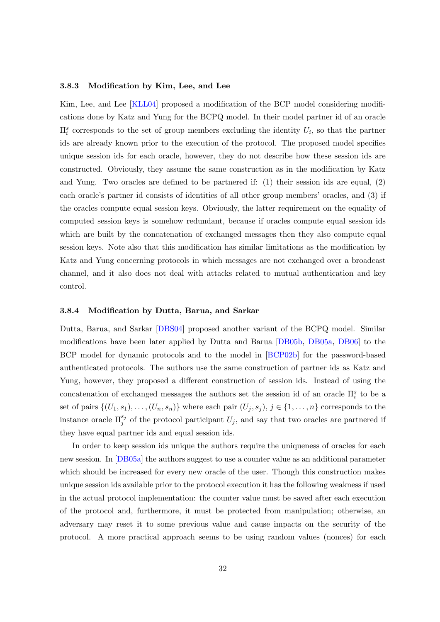#### <span id="page-31-2"></span><span id="page-31-0"></span>3.8.3 Modification by Kim, Lee, and Lee

Kim, Lee, and Lee [\[KLL04\]](#page-44-9) proposed a modification of the BCP model considering modifications done by Katz and Yung for the BCPQ model. In their model partner id of an oracle  $\Pi_i^s$  corresponds to the set of group members excluding the identity  $U_i$ , so that the partner ids are already known prior to the execution of the protocol. The proposed model specifies unique session ids for each oracle, however, they do not describe how these session ids are constructed. Obviously, they assume the same construction as in the modification by Katz and Yung. Two oracles are defined to be partnered if: (1) their session ids are equal, (2) each oracle's partner id consists of identities of all other group members' oracles, and (3) if the oracles compute equal session keys. Obviously, the latter requirement on the equality of computed session keys is somehow redundant, because if oracles compute equal session ids which are built by the concatenation of exchanged messages then they also compute equal session keys. Note also that this modification has similar limitations as the modification by Katz and Yung concerning protocols in which messages are not exchanged over a broadcast channel, and it also does not deal with attacks related to mutual authentication and key control.

#### <span id="page-31-1"></span>3.8.4 Modification by Dutta, Barua, and Sarkar

Dutta, Barua, and Sarkar [\[DBS04\]](#page-43-6) proposed another variant of the BCPQ model. Similar modifications have been later applied by Dutta and Barua [\[DB05b,](#page-43-7) [DB05a,](#page-43-8) [DB06\]](#page-43-9) to the BCP model for dynamic protocols and to the model in [\[BCP02b\]](#page-40-5) for the password-based authenticated protocols. The authors use the same construction of partner ids as Katz and Yung, however, they proposed a different construction of session ids. Instead of using the concatenation of exchanged messages the authors set the session id of an oracle  $\Pi_i^s$  to be a set of pairs  $\{(U_1, s_1), \ldots, (U_n, s_n)\}\$  where each pair  $(U_j, s_j), j \in \{1, \ldots, n\}$  corresponds to the instance oracle  $\Pi_j^{s_j}$  of the protocol participant  $U_j$ , and say that two oracles are partnered if they have equal partner ids and equal session ids.

In order to keep session ids unique the authors require the uniqueness of oracles for each new session. In [\[DB05a\]](#page-43-8) the authors suggest to use a counter value as an additional parameter which should be increased for every new oracle of the user. Though this construction makes unique session ids available prior to the protocol execution it has the following weakness if used in the actual protocol implementation: the counter value must be saved after each execution of the protocol and, furthermore, it must be protected from manipulation; otherwise, an adversary may reset it to some previous value and cause impacts on the security of the protocol. A more practical approach seems to be using random values (nonces) for each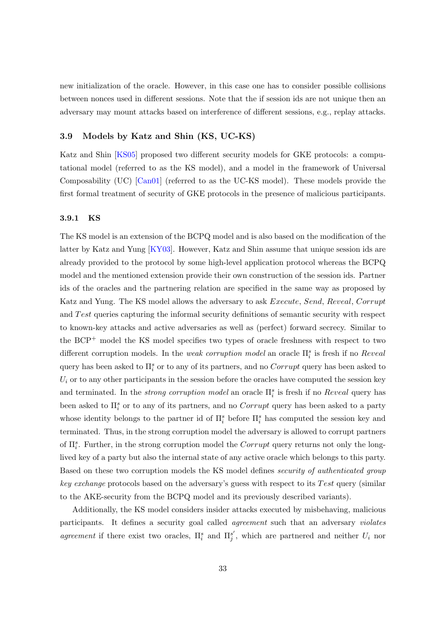<span id="page-32-2"></span>new initialization of the oracle. However, in this case one has to consider possible collisions between nonces used in different sessions. Note that the if session ids are not unique then an adversary may mount attacks based on interference of different sessions, e.g., replay attacks.

#### <span id="page-32-0"></span>3.9 Models by Katz and Shin (KS, UC-KS)

Katz and Shin [\[KS05\]](#page-44-5) proposed two different security models for GKE protocols: a computational model (referred to as the KS model), and a model in the framework of Universal Composability (UC) [\[Can01\]](#page-42-6) (referred to as the UC-KS model). These models provide the first formal treatment of security of GKE protocols in the presence of malicious participants.

#### <span id="page-32-1"></span>3.9.1 KS

The KS model is an extension of the BCPQ model and is also based on the modification of the latter by Katz and Yung [\[KY03\]](#page-44-8). However, Katz and Shin assume that unique session ids are already provided to the protocol by some high-level application protocol whereas the BCPQ model and the mentioned extension provide their own construction of the session ids. Partner ids of the oracles and the partnering relation are specified in the same way as proposed by Katz and Yung. The KS model allows the adversary to ask *Execute*, Send, Reveal, Corrupt and Test queries capturing the informal security definitions of semantic security with respect to known-key attacks and active adversaries as well as (perfect) forward secrecy. Similar to the BCP<sup>+</sup> model the KS model specifies two types of oracle freshness with respect to two different corruption models. In the *weak corruption model* an oracle  $\Pi_i^s$  is fresh if no *Reveal* query has been asked to  $\Pi_i^s$  or to any of its partners, and no  $Corrupt$  query has been asked to  $U_i$  or to any other participants in the session before the oracles have computed the session key and terminated. In the *strong corruption model* an oracle  $\prod_{i=1}^{s}$  is fresh if no *Reveal* query has been asked to  $\Pi_i^s$  or to any of its partners, and no  $Corrupt$  query has been asked to a party whose identity belongs to the partner id of  $\Pi_i^s$  before  $\Pi_i^s$  has computed the session key and terminated. Thus, in the strong corruption model the adversary is allowed to corrupt partners of  $\Pi_i^s$ . Further, in the strong corruption model the Corrupt query returns not only the longlived key of a party but also the internal state of any active oracle which belongs to this party. Based on these two corruption models the KS model defines security of authenticated group  $key\ exchange\ protocols\ based\ on\ the\ adversary's\ guess\ with\ respect\ to\ its\ Test\ query\ (similar\)$ to the AKE-security from the BCPQ model and its previously described variants).

Additionally, the KS model considers insider attacks executed by misbehaving, malicious participants. It defines a security goal called *agreement* such that an adversary *violates* agreement if there exist two oracles,  $\Pi_i^s$  and  $\Pi_j^{s'}$ , which are partnered and neither  $U_i$  nor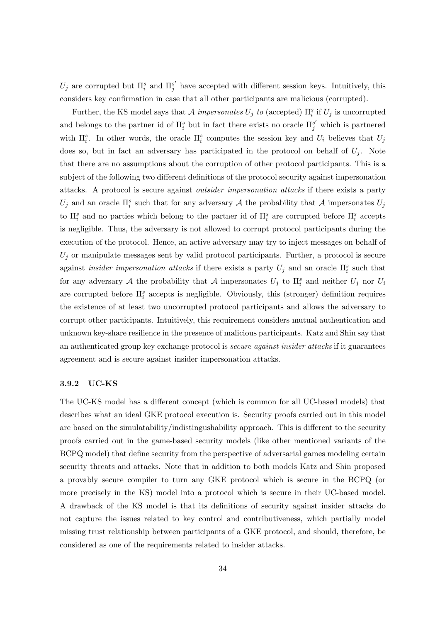$U_j$  are corrupted but  $\Pi_i^s$  and  $\Pi_j^{s'}$  have accepted with different session keys. Intuitively, this considers key confirmation in case that all other participants are malicious (corrupted).

Further, the KS model says that  $\mathcal A$  impersonates  $U_j$  to (accepted)  $\Pi_i^s$  if  $U_j$  is uncorrupted and belongs to the partner id of  $\Pi_i^s$  but in fact there exists no oracle  $\Pi_j^{s'}$  which is partnered with  $\Pi_i^s$ . In other words, the oracle  $\Pi_i^s$  computes the session key and  $U_i$  believes that  $U_j$ does so, but in fact an adversary has participated in the protocol on behalf of  $U_i$ . Note that there are no assumptions about the corruption of other protocol participants. This is a subject of the following two different definitions of the protocol security against impersonation attacks. A protocol is secure against outsider impersonation attacks if there exists a party  $U_j$  and an oracle  $\Pi_i^s$  such that for any adversary A the probability that A impersonates  $U_j$ to  $\Pi_i^s$  and no parties which belong to the partner id of  $\Pi_i^s$  are corrupted before  $\Pi_i^s$  accepts is negligible. Thus, the adversary is not allowed to corrupt protocol participants during the execution of the protocol. Hence, an active adversary may try to inject messages on behalf of  $U_i$  or manipulate messages sent by valid protocol participants. Further, a protocol is secure against *insider impersonation attacks* if there exists a party  $U_j$  and an oracle  $\Pi_i^s$  such that for any adversary A the probability that A impersonates  $U_j$  to  $\Pi_i^s$  and neither  $U_j$  nor  $U_i$ are corrupted before  $\Pi_i^s$  accepts is negligible. Obviously, this (stronger) definition requires the existence of at least two uncorrupted protocol participants and allows the adversary to corrupt other participants. Intuitively, this requirement considers mutual authentication and unknown key-share resilience in the presence of malicious participants. Katz and Shin say that an authenticated group key exchange protocol is *secure against insider attacks* if it guarantees agreement and is secure against insider impersonation attacks.

#### <span id="page-33-0"></span>3.9.2 UC-KS

The UC-KS model has a different concept (which is common for all UC-based models) that describes what an ideal GKE protocol execution is. Security proofs carried out in this model are based on the simulatability/indistingushability approach. This is different to the security proofs carried out in the game-based security models (like other mentioned variants of the BCPQ model) that define security from the perspective of adversarial games modeling certain security threats and attacks. Note that in addition to both models Katz and Shin proposed a provably secure compiler to turn any GKE protocol which is secure in the BCPQ (or more precisely in the KS) model into a protocol which is secure in their UC-based model. A drawback of the KS model is that its definitions of security against insider attacks do not capture the issues related to key control and contributiveness, which partially model missing trust relationship between participants of a GKE protocol, and should, therefore, be considered as one of the requirements related to insider attacks.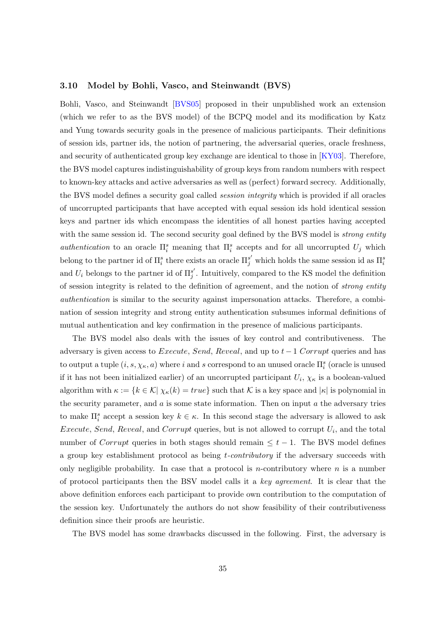#### <span id="page-34-1"></span><span id="page-34-0"></span>3.10 Model by Bohli, Vasco, and Steinwandt (BVS)

Bohli, Vasco, and Steinwandt [\[BVS05\]](#page-42-7) proposed in their unpublished work an extension (which we refer to as the BVS model) of the BCPQ model and its modification by Katz and Yung towards security goals in the presence of malicious participants. Their definitions of session ids, partner ids, the notion of partnering, the adversarial queries, oracle freshness, and security of authenticated group key exchange are identical to those in [\[KY03\]](#page-44-8). Therefore, the BVS model captures indistinguishability of group keys from random numbers with respect to known-key attacks and active adversaries as well as (perfect) forward secrecy. Additionally, the BVS model defines a security goal called *session integrity* which is provided if all oracles of uncorrupted participants that have accepted with equal session ids hold identical session keys and partner ids which encompass the identities of all honest parties having accepted with the same session id. The second security goal defined by the BVS model is *strong entity* authentication to an oracle  $\Pi_i^s$  meaning that  $\Pi_i^s$  accepts and for all uncorrupted  $U_j$  which belong to the partner id of  $\Pi_i^s$  there exists an oracle  $\Pi_j^{s'}$  which holds the same session id as  $\Pi_i^s$ and  $U_i$  belongs to the partner id of  $\Pi_j^{s'}$ . Intuitively, compared to the KS model the definition of session integrity is related to the definition of agreement, and the notion of strong entity authentication is similar to the security against impersonation attacks. Therefore, a combination of session integrity and strong entity authentication subsumes informal definitions of mutual authentication and key confirmation in the presence of malicious participants.

The BVS model also deals with the issues of key control and contributiveness. The adversary is given access to Execute, Send, Reveal, and up to  $t-1$  Corrupt queries and has to output a tuple  $(i, s, \chi_{\kappa}, a)$  where i and s correspond to an unused oracle  $\Pi_i^s$  (oracle is unused if it has not been initialized earlier) of an uncorrupted participant  $U_i$ ,  $\chi_{\kappa}$  is a boolean-valued algorithm with  $\kappa := \{k \in \mathcal{K} | \chi_{\kappa}(k) = true\}$  such that K is a key space and  $|\kappa|$  is polynomial in the security parameter, and  $a$  is some state information. Then on input  $a$  the adversary tries to make  $\Pi_i^s$  accept a session key  $k \in \kappa$ . In this second stage the adversary is allowed to ask *Execute, Send, Reveal,* and *Corrupt* queries, but is not allowed to corrupt  $U_i$ , and the total number of Corrupt queries in both stages should remain  $\leq t-1$ . The BVS model defines a group key establishment protocol as being t-contributory if the adversary succeeds with only negligible probability. In case that a protocol is *n*-contributory where *n* is a number of protocol participants then the BSV model calls it a key agreement. It is clear that the above definition enforces each participant to provide own contribution to the computation of the session key. Unfortunately the authors do not show feasibility of their contributiveness definition since their proofs are heuristic.

The BVS model has some drawbacks discussed in the following. First, the adversary is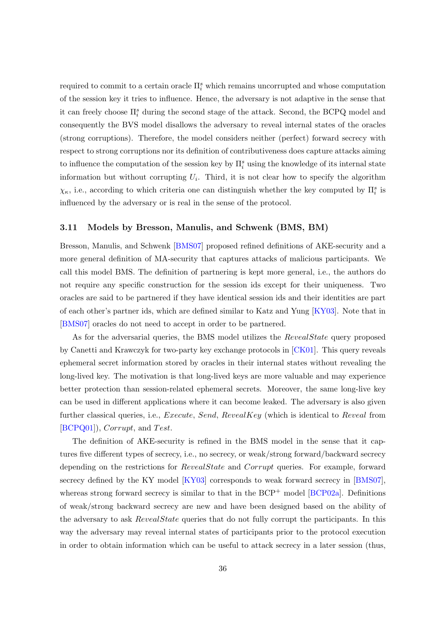<span id="page-35-1"></span>required to commit to a certain oracle  $\prod_{i=1}^{s}$  which remains uncorrupted and whose computation of the session key it tries to influence. Hence, the adversary is not adaptive in the sense that it can freely choose  $\Pi^s_i$  during the second stage of the attack. Second, the BCPQ model and consequently the BVS model disallows the adversary to reveal internal states of the oracles (strong corruptions). Therefore, the model considers neither (perfect) forward secrecy with respect to strong corruptions nor its definition of contributiveness does capture attacks aiming to influence the computation of the session key by  $\Pi_i^s$  using the knowledge of its internal state information but without corrupting  $U_i$ . Third, it is not clear how to specify the algorithm  $\chi_{\kappa}$ , i.e., according to which criteria one can distinguish whether the key computed by  $\Pi_i^s$  is influenced by the adversary or is real in the sense of the protocol.

#### <span id="page-35-0"></span>3.11 Models by Bresson, Manulis, and Schwenk (BMS, BM)

Bresson, Manulis, and Schwenk [\[BMS07\]](#page-41-7) proposed refined definitions of AKE-security and a more general definition of MA-security that captures attacks of malicious participants. We call this model BMS. The definition of partnering is kept more general, i.e., the authors do not require any specific construction for the session ids except for their uniqueness. Two oracles are said to be partnered if they have identical session ids and their identities are part of each other's partner ids, which are defined similar to Katz and Yung [\[KY03\]](#page-44-8). Note that in [\[BMS07\]](#page-41-7) oracles do not need to accept in order to be partnered.

As for the adversarial queries, the BMS model utilizes the RevealState query proposed by Canetti and Krawczyk for two-party key exchange protocols in [\[CK01\]](#page-42-5). This query reveals ephemeral secret information stored by oracles in their internal states without revealing the long-lived key. The motivation is that long-lived keys are more valuable and may experience better protection than session-related ephemeral secrets. Moreover, the same long-live key can be used in different applications where it can become leaked. The adversary is also given further classical queries, i.e., *Execute, Send, RevealKey* (which is identical to Reveal from  $[BCPQ01]$ ,  $Corrupt$ , and  $Test$ .

The definition of AKE-security is refined in the BMS model in the sense that it captures five different types of secrecy, i.e., no secrecy, or weak/strong forward/backward secrecy depending on the restrictions for *RevealState* and *Corrupt* queries. For example, forward secrecy defined by the KY model [\[KY03\]](#page-44-8) corresponds to weak forward secrecy in [\[BMS07\]](#page-41-7), whereas strong forward secrecy is similar to that in the  $BCP^+$  model  $[BCP02a]$ . Definitions of weak/strong backward secrecy are new and have been designed based on the ability of the adversary to ask RevealState queries that do not fully corrupt the participants. In this way the adversary may reveal internal states of participants prior to the protocol execution in order to obtain information which can be useful to attack secrecy in a later session (thus,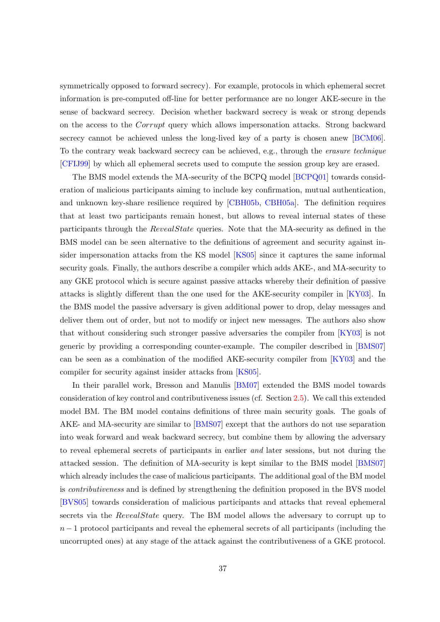<span id="page-36-0"></span>symmetrically opposed to forward secrecy). For example, protocols in which ephemeral secret information is pre-computed off-line for better performance are no longer AKE-secure in the sense of backward secrecy. Decision whether backward secrecy is weak or strong depends on the access to the Corrupt query which allows impersonation attacks. Strong backward secrecy cannot be achieved unless the long-lived key of a party is chosen anew [\[BCM06\]](#page-40-6). To the contrary weak backward secrecy can be achieved, e.g., through the erasure technique [\[CFIJ99\]](#page-42-8) by which all ephemeral secrets used to compute the session group key are erased.

The BMS model extends the MA-security of the BCPQ model [\[BCPQ01\]](#page-40-2) towards consideration of malicious participants aiming to include key confirmation, mutual authentication, and unknown key-share resilience required by [\[CBH05b,](#page-42-4) [CBH05a\]](#page-42-3). The definition requires that at least two participants remain honest, but allows to reveal internal states of these participants through the RevealState queries. Note that the MA-security as defined in the BMS model can be seen alternative to the definitions of agreement and security against insider impersonation attacks from the KS model [\[KS05\]](#page-44-5) since it captures the same informal security goals. Finally, the authors describe a compiler which adds AKE-, and MA-security to any GKE protocol which is secure against passive attacks whereby their definition of passive attacks is slightly different than the one used for the AKE-security compiler in [\[KY03\]](#page-44-8). In the BMS model the passive adversary is given additional power to drop, delay messages and deliver them out of order, but not to modify or inject new messages. The authors also show that without considering such stronger passive adversaries the compiler from [\[KY03\]](#page-44-8) is not generic by providing a corresponding counter-example. The compiler described in [\[BMS07\]](#page-41-7) can be seen as a combination of the modified AKE-security compiler from [\[KY03\]](#page-44-8) and the compiler for security against insider attacks from [\[KS05\]](#page-44-5).

In their parallel work, Bresson and Manulis [\[BM07\]](#page-41-8) extended the BMS model towards consideration of key control and contributiveness issues (cf. Section [2.5\)](#page-11-0). We call this extended model BM. The BM model contains definitions of three main security goals. The goals of AKE- and MA-security are similar to [\[BMS07\]](#page-41-7) except that the authors do not use separation into weak forward and weak backward secrecy, but combine them by allowing the adversary to reveal ephemeral secrets of participants in earlier and later sessions, but not during the attacked session. The definition of MA-security is kept similar to the BMS model [\[BMS07\]](#page-41-7) which already includes the case of malicious participants. The additional goal of the BM model is contributiveness and is defined by strengthening the definition proposed in the BVS model [\[BVS05\]](#page-42-7) towards consideration of malicious participants and attacks that reveal ephemeral secrets via the RevealState query. The BM model allows the adversary to corrupt up to  $n-1$  protocol participants and reveal the ephemeral secrets of all participants (including the uncorrupted ones) at any stage of the attack against the contributiveness of a GKE protocol.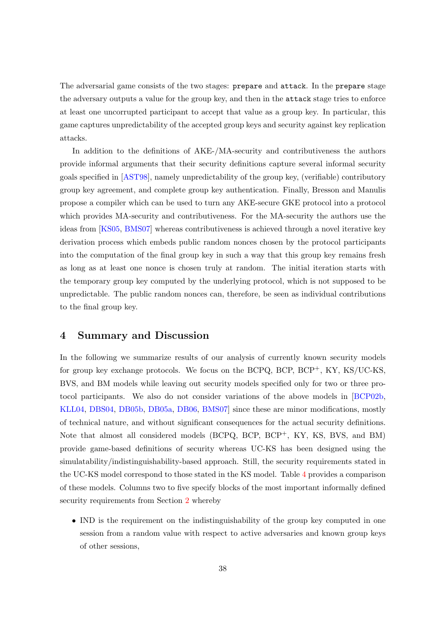<span id="page-37-1"></span>The adversarial game consists of the two stages: prepare and attack. In the prepare stage the adversary outputs a value for the group key, and then in the attack stage tries to enforce at least one uncorrupted participant to accept that value as a group key. In particular, this game captures unpredictability of the accepted group keys and security against key replication attacks.

In addition to the definitions of AKE-/MA-security and contributiveness the authors provide informal arguments that their security definitions capture several informal security goals specified in [\[AST98\]](#page-39-3), namely unpredictability of the group key, (verifiable) contributory group key agreement, and complete group key authentication. Finally, Bresson and Manulis propose a compiler which can be used to turn any AKE-secure GKE protocol into a protocol which provides MA-security and contributiveness. For the MA-security the authors use the ideas from [\[KS05,](#page-44-5) [BMS07\]](#page-41-7) whereas contributiveness is achieved through a novel iterative key derivation process which embeds public random nonces chosen by the protocol participants into the computation of the final group key in such a way that this group key remains fresh as long as at least one nonce is chosen truly at random. The initial iteration starts with the temporary group key computed by the underlying protocol, which is not supposed to be unpredictable. The public random nonces can, therefore, be seen as individual contributions to the final group key.

# <span id="page-37-0"></span>4 Summary and Discussion

In the following we summarize results of our analysis of currently known security models for group key exchange protocols. We focus on the BCPQ, BCP, BCP<sup>+</sup>, KY, KS/UC-KS, BVS, and BM models while leaving out security models specified only for two or three protocol participants. We also do not consider variations of the above models in [\[BCP02b,](#page-40-5) [KLL04,](#page-44-9) [DBS04,](#page-43-6) [DB05b,](#page-43-7) [DB05a,](#page-43-8) [DB06,](#page-43-9) [BMS07\]](#page-41-7) since these are minor modifications, mostly of technical nature, and without significant consequences for the actual security definitions. Note that almost all considered models (BCPQ, BCP, BCP<sup>+</sup>, KY, KS, BVS, and BM) provide game-based definitions of security whereas UC-KS has been designed using the simulatability/indistinguishability-based approach. Still, the security requirements stated in the UC-KS model correspond to those stated in the KS model. Table [4](#page-37-0) provides a comparison of these models. Columns two to five specify blocks of the most important informally defined security requirements from Section [2](#page-7-0) whereby

• IND is the requirement on the indistinguishability of the group key computed in one session from a random value with respect to active adversaries and known group keys of other sessions,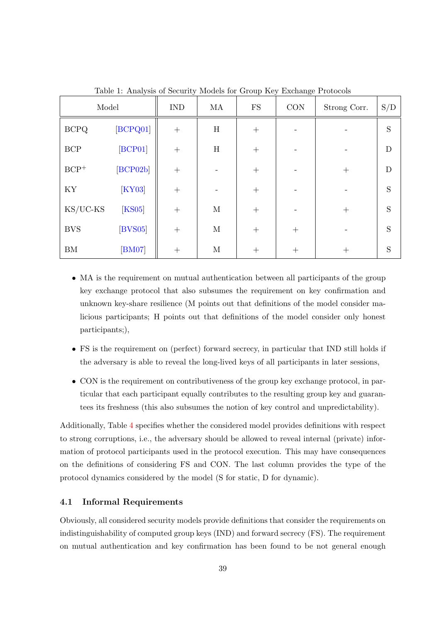<span id="page-38-1"></span>

| Model                                  |               | <b>IND</b> | MA           | ${\rm FS}$ | CON    | Strong Corr. | S/D         |
|----------------------------------------|---------------|------------|--------------|------------|--------|--------------|-------------|
| <b>BCPQ</b>                            | [BCPQ01]      | $^{+}$     | $\, {\rm H}$ | $^{+}$     |        |              | $\mathbf S$ |
| $\operatorname{BCP}$                   | [BCP01]       | $^{+}$     | $\, {\rm H}$ | $^{+}$     |        |              | $\mathbf D$ |
| $\ensuremath{\mathrm{BCP}^{+}}\xspace$ | [BCP02b]      | $^{+}$     |              | $^{+}$     |        | $^{+}$       | $\mathbf D$ |
| KY                                     | [KY03]        | $^{+}$     |              | $^{+}$     |        |              | $\mathbf S$ |
| $KS/UC$ - $KS$                         | [KS05]        | $^{+}$     | $\mathbf M$  | $^{+}$     |        | $^{+}$       | $\mathbf S$ |
| <b>BVS</b>                             | $[$ BVS05 $]$ | $^{+}$     | $\mathbf M$  | $^{+}$     | $^{+}$ |              | S           |
| ${\rm BM}$                             | [BM07]        | $^{+}$     | $\mathbf M$  | $^{+}$     | $^{+}$ | $^+$         | S           |

Table 1: Analysis of Security Models for Group Key Exchange Protocols

- MA is the requirement on mutual authentication between all participants of the group key exchange protocol that also subsumes the requirement on key confirmation and unknown key-share resilience (M points out that definitions of the model consider malicious participants; H points out that definitions of the model consider only honest participants;),
- FS is the requirement on (perfect) forward secrecy, in particular that IND still holds if the adversary is able to reveal the long-lived keys of all participants in later sessions,
- CON is the requirement on contributiveness of the group key exchange protocol, in particular that each participant equally contributes to the resulting group key and guarantees its freshness (this also subsumes the notion of key control and unpredictability).

Additionally, Table [4](#page-37-0) specifies whether the considered model provides definitions with respect to strong corruptions, i.e., the adversary should be allowed to reveal internal (private) information of protocol participants used in the protocol execution. This may have consequences on the definitions of considering FS and CON. The last column provides the type of the protocol dynamics considered by the model (S for static, D for dynamic).

#### <span id="page-38-0"></span>4.1 Informal Requirements

Obviously, all considered security models provide definitions that consider the requirements on indistinguishability of computed group keys (IND) and forward secrecy (FS). The requirement on mutual authentication and key confirmation has been found to be not general enough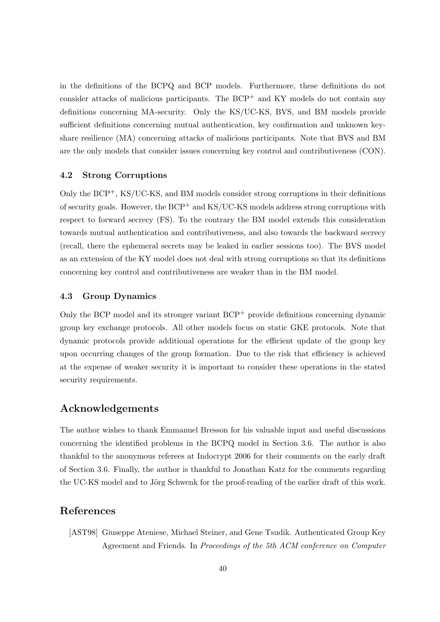in the definitions of the BCPQ and BCP models. Furthermore, these definitions do not consider attacks of malicious participants. The  $BCP^+$  and  $KY$  models do not contain any definitions concerning MA-security. Only the KS/UC-KS, BVS, and BM models provide sufficient definitions concerning mutual authentication, key confirmation and unknown keyshare resilience (MA) concerning attacks of malicious participants. Note that BVS and BM are the only models that consider issues concerning key control and contributiveness (CON).

### <span id="page-39-0"></span>4.2 Strong Corruptions

Only the BCP+, KS/UC-KS, and BM models consider strong corruptions in their definitions of security goals. However, the  $BCP^+$  and  $KS/UC$ -KS models address strong corruptions with respect to forward secrecy (FS). To the contrary the BM model extends this consideration towards mutual authentication and contributiveness, and also towards the backward secrecy (recall, there the ephemeral secrets may be leaked in earlier sessions too). The BVS model as an extension of the KY model does not deal with strong corruptions so that its definitions concerning key control and contributiveness are weaker than in the BM model.

#### <span id="page-39-1"></span>4.3 Group Dynamics

Only the BCP model and its stronger variant  $BCP<sup>+</sup>$  provide definitions concerning dynamic group key exchange protocols. All other models focus on static GKE protocols. Note that dynamic protocols provide additional operations for the efficient update of the group key upon occurring changes of the group formation. Due to the risk that efficiency is achieved at the expense of weaker security it is important to consider these operations in the stated security requirements.

# Acknowledgements

<span id="page-39-2"></span>The author wishes to thank Emmanuel Bresson for his valuable input and useful discussions concerning the identified problems in the BCPQ model in Section 3.6. The author is also thankful to the anonymous referees at Indocrypt 2006 for their comments on the early draft of Section 3.6. Finally, the author is thankful to Jonathan Katz for the comments regarding the UC-KS model and to Jörg Schwenk for the proof-reading of the earlier draft of this work.

# References

<span id="page-39-3"></span>[AST98] Giuseppe Ateniese, Michael Steiner, and Gene Tsudik. Authenticated Group Key Agreement and Friends. In Proceedings of the 5th ACM conference on Computer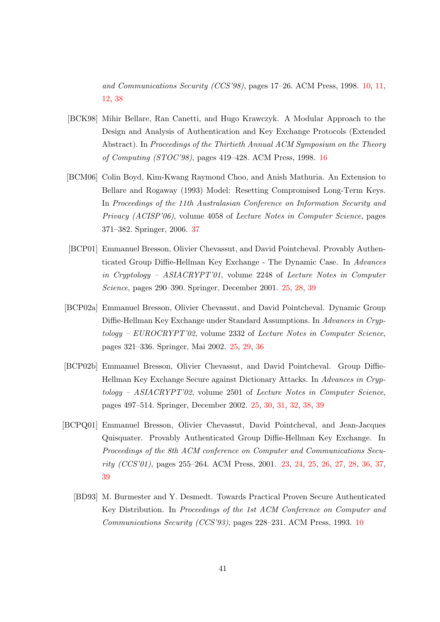and Communications Security (CCS'98), pages 17–26. ACM Press, 1998. [10,](#page-9-1) [11,](#page-10-2) [12,](#page-11-1) [38](#page-37-1)

- <span id="page-40-1"></span>[BCK98] Mihir Bellare, Ran Canetti, and Hugo Krawczyk. A Modular Approach to the Design and Analysis of Authentication and Key Exchange Protocols (Extended Abstract). In Proceedings of the Thirtieth Annual ACM Symposium on the Theory of Computing (STOC'98), pages 419–428. ACM Press, 1998. [16](#page-15-1)
- <span id="page-40-6"></span>[BCM06] Colin Boyd, Kim-Kwang Raymond Choo, and Anish Mathuria. An Extension to Bellare and Rogaway (1993) Model: Resetting Compromised Long-Term Keys. In Proceedings of the 11th Australasian Conference on Information Security and Privacy (ACISP'06), volume 4058 of Lecture Notes in Computer Science, pages 371–382. Springer, 2006. [37](#page-36-0)
- <span id="page-40-3"></span>[BCP01] Emmanuel Bresson, Olivier Chevassut, and David Pointcheval. Provably Authenticated Group Diffie-Hellman Key Exchange - The Dynamic Case. In Advances in Cryptology – ASIACRYPT'01, volume 2248 of Lecture Notes in Computer Science, pages 290–390. Springer, December 2001. [25,](#page-24-2) [28,](#page-27-2) [39](#page-38-1)
- <span id="page-40-4"></span>[BCP02a] Emmanuel Bresson, Olivier Chevassut, and David Pointcheval. Dynamic Group Diffie-Hellman Key Exchange under Standard Assumptions. In Advances in Cryptology – EUROCRYPT'02, volume 2332 of Lecture Notes in Computer Science, pages 321–336. Springer, Mai 2002. [25,](#page-24-2) [29,](#page-28-1) [36](#page-35-1)
- <span id="page-40-5"></span>[BCP02b] Emmanuel Bresson, Olivier Chevassut, and David Pointcheval. Group Diffie-Hellman Key Exchange Secure against Dictionary Attacks. In Advances in Cryp $tology - ASIACRYPT'02$ , volume 2501 of Lecture Notes in Computer Science, pages 497–514. Springer, December 2002. [25,](#page-24-2) [30,](#page-29-2) [31,](#page-30-1) [32,](#page-31-2) [38,](#page-37-1) [39](#page-38-1)
- <span id="page-40-2"></span><span id="page-40-0"></span>[BCPQ01] Emmanuel Bresson, Olivier Chevassut, David Pointcheval, and Jean-Jacques Quisquater. Provably Authenticated Group Diffie-Hellman Key Exchange. In Proceedings of the 8th ACM conference on Computer and Communications Security (CCS'01), pages 255–264. ACM Press, 2001. [23,](#page-22-1) [24,](#page-23-0) [25,](#page-24-2) [26,](#page-25-2) [27,](#page-26-1) [28,](#page-27-2) [36,](#page-35-1) [37,](#page-36-0) [39](#page-38-1)
	- [BD93] M. Burmester and Y. Desmedt. Towards Practical Proven Secure Authenticated Key Distribution. In Proceedings of the 1st ACM Conference on Computer and Communications Security (CCS'93), pages 228–231. ACM Press, 1993. [10](#page-9-1)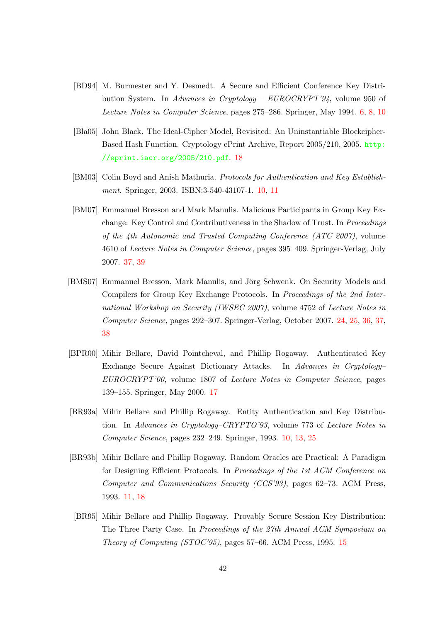- <span id="page-41-0"></span>[BD94] M. Burmester and Y. Desmedt. A Secure and Efficient Conference Key Distribution System. In Advances in Cryptology – EUROCRYPT'94, volume 950 of Lecture Notes in Computer Science, pages 275–286. Springer, May 1994. [6,](#page-5-1) [8,](#page-7-2) [10](#page-9-1)
- <span id="page-41-6"></span>[Bla05] John Black. The Ideal-Cipher Model, Revisited: An Uninstantiable Blockcipher-Based Hash Function. Cryptology ePrint Archive, Report 2005/210, 2005. [http:](http://eprint.iacr.org/2005/210.pdf) [//eprint.iacr.org/2005/210.pdf](http://eprint.iacr.org/2005/210.pdf). [18](#page-17-0)
- <span id="page-41-2"></span>[BM03] Colin Boyd and Anish Mathuria. Protocols for Authentication and Key Establish-ment. Springer, 2003. ISBN:3-540-43107-1. [10,](#page-9-1) [11](#page-10-2)
- <span id="page-41-8"></span>[BM07] Emmanuel Bresson and Mark Manulis. Malicious Participants in Group Key Exchange: Key Control and Contributiveness in the Shadow of Trust. In *Proceedings* of the 4th Autonomic and Trusted Computing Conference (ATC 2007), volume 4610 of Lecture Notes in Computer Science, pages 395–409. Springer-Verlag, July 2007. [37,](#page-36-0) [39](#page-38-1)
- <span id="page-41-7"></span>[BMS07] Emmanuel Bresson, Mark Manulis, and Jörg Schwenk. On Security Models and Compilers for Group Key Exchange Protocols. In Proceedings of the 2nd International Workshop on Security (IWSEC 2007), volume 4752 of Lecture Notes in Computer Science, pages 292–307. Springer-Verlag, October 2007. [24,](#page-23-0) [25,](#page-24-2) [36,](#page-35-1) [37,](#page-36-0) [38](#page-37-1)
- <span id="page-41-5"></span>[BPR00] Mihir Bellare, David Pointcheval, and Phillip Rogaway. Authenticated Key Exchange Secure Against Dictionary Attacks. In Advances in Cryptology– EUROCRYPT'00, volume 1807 of Lecture Notes in Computer Science, pages 139–155. Springer, May 2000. [17](#page-16-1)
- <span id="page-41-1"></span>[BR93a] Mihir Bellare and Phillip Rogaway. Entity Authentication and Key Distribution. In Advances in Cryptology–CRYPTO'93, volume 773 of Lecture Notes in Computer Science, pages 232–249. Springer, 1993. [10,](#page-9-1) [13,](#page-12-3) [25](#page-24-2)
- <span id="page-41-3"></span>[BR93b] Mihir Bellare and Phillip Rogaway. Random Oracles are Practical: A Paradigm for Designing Efficient Protocols. In Proceedings of the 1st ACM Conference on Computer and Communications Security (CCS'93), pages 62–73. ACM Press, 1993. [11,](#page-10-2) [18](#page-17-0)
- <span id="page-41-4"></span>[BR95] Mihir Bellare and Phillip Rogaway. Provably Secure Session Key Distribution: The Three Party Case. In Proceedings of the 27th Annual ACM Symposium on Theory of Computing (STOC'95), pages 57–66. ACM Press, 1995. [15](#page-14-1)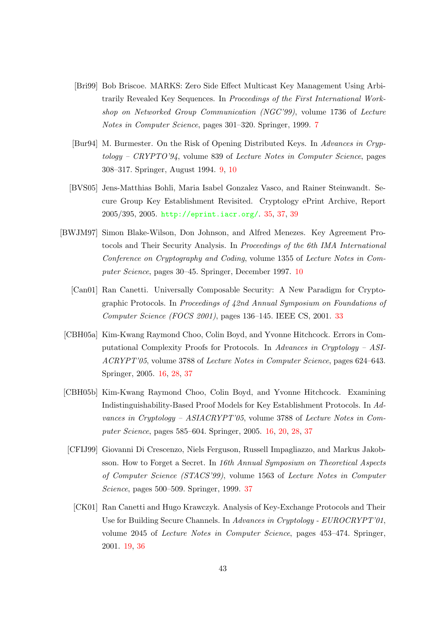- <span id="page-42-0"></span>[Bri99] Bob Briscoe. MARKS: Zero Side Effect Multicast Key Management Using Arbitrarily Revealed Key Sequences. In Proceedings of the First International Workshop on Networked Group Communication (NGC'99), volume 1736 of Lecture Notes in Computer Science, pages 301–320. Springer, 1999. [7](#page-6-2)
- <span id="page-42-1"></span>[Bur94] M. Burmester. On the Risk of Opening Distributed Keys. In Advances in Cryptology – CRYPTO'94, volume 839 of Lecture Notes in Computer Science, pages 308–317. Springer, August 1994. [9,](#page-8-0) [10](#page-9-1)
- <span id="page-42-7"></span>[BVS05] Jens-Matthias Bohli, Maria Isabel Gonzalez Vasco, and Rainer Steinwandt. Secure Group Key Establishment Revisited. Cryptology ePrint Archive, Report 2005/395, 2005. <http://eprint.iacr.org/>. [35,](#page-34-1) [37,](#page-36-0) [39](#page-38-1)
- <span id="page-42-6"></span><span id="page-42-2"></span>[BWJM97] Simon Blake-Wilson, Don Johnson, and Alfred Menezes. Key Agreement Protocols and Their Security Analysis. In Proceedings of the 6th IMA International Conference on Cryptography and Coding, volume 1355 of Lecture Notes in Computer Science, pages 30–45. Springer, December 1997. [10](#page-9-1)
	- [Can01] Ran Canetti. Universally Composable Security: A New Paradigm for Cryptographic Protocols. In Proceedings of 42nd Annual Symposium on Foundations of Computer Science (FOCS 2001), pages 136–145. IEEE CS, 2001. [33](#page-32-2)
- <span id="page-42-3"></span>[CBH05a] Kim-Kwang Raymond Choo, Colin Boyd, and Yvonne Hitchcock. Errors in Computational Complexity Proofs for Protocols. In Advances in Cryptology – ASI-ACRYPT'05, volume 3788 of Lecture Notes in Computer Science, pages 624–643. Springer, 2005. [16,](#page-15-1) [28,](#page-27-2) [37](#page-36-0)
- <span id="page-42-8"></span><span id="page-42-5"></span><span id="page-42-4"></span>[CBH05b] Kim-Kwang Raymond Choo, Colin Boyd, and Yvonne Hitchcock. Examining Indistinguishability-Based Proof Models for Key Establishment Protocols. In Advances in Cryptology – ASIACRYPT'05, volume 3788 of Lecture Notes in Computer Science, pages 585–604. Springer, 2005. [16,](#page-15-1) [20,](#page-19-0) [28,](#page-27-2) [37](#page-36-0)
	- [CFIJ99] Giovanni Di Crescenzo, Niels Ferguson, Russell Impagliazzo, and Markus Jakobsson. How to Forget a Secret. In 16th Annual Symposium on Theoretical Aspects of Computer Science (STACS'99), volume 1563 of Lecture Notes in Computer Science, pages 500–509. Springer, 1999. [37](#page-36-0)
		- [CK01] Ran Canetti and Hugo Krawczyk. Analysis of Key-Exchange Protocols and Their Use for Building Secure Channels. In Advances in Cryptology - EUROCRYPT'01, volume 2045 of Lecture Notes in Computer Science, pages 453–474. Springer, 2001. [19,](#page-18-1) [36](#page-35-1)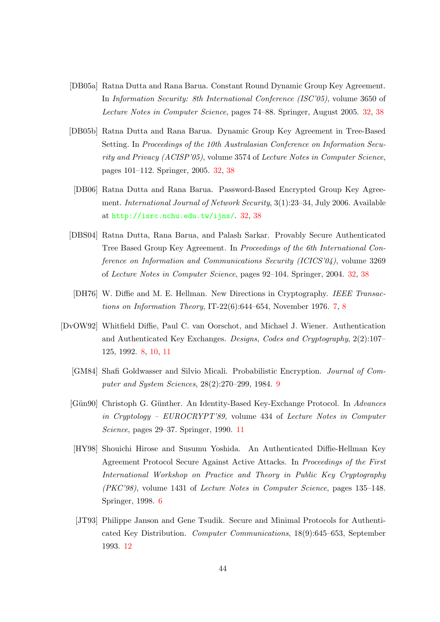- <span id="page-43-8"></span>[DB05a] Ratna Dutta and Rana Barua. Constant Round Dynamic Group Key Agreement. In Information Security: 8th International Conference (ISC'05), volume 3650 of Lecture Notes in Computer Science, pages 74–88. Springer, August 2005. [32,](#page-31-2) [38](#page-37-1)
- <span id="page-43-7"></span>[DB05b] Ratna Dutta and Rana Barua. Dynamic Group Key Agreement in Tree-Based Setting. In Proceedings of the 10th Australasian Conference on Information Security and Privacy (ACISP'05), volume 3574 of Lecture Notes in Computer Science, pages 101–112. Springer, 2005. [32,](#page-31-2) [38](#page-37-1)
- <span id="page-43-9"></span>[DB06] Ratna Dutta and Rana Barua. Password-Based Encrypted Group Key Agreement. International Journal of Network Security, 3(1):23–34, July 2006. Available at <http://isrc.nchu.edu.tw/ijns/>. [32,](#page-31-2) [38](#page-37-1)
- <span id="page-43-6"></span>[DBS04] Ratna Dutta, Rana Barua, and Palash Sarkar. Provably Secure Authenticated Tree Based Group Key Agreement. In Proceedings of the 6th International Conference on Information and Communications Security (ICICS'04), volume 3269 of Lecture Notes in Computer Science, pages 92–104. Springer, 2004. [32,](#page-31-2) [38](#page-37-1)
- <span id="page-43-1"></span>[DH76] W. Diffie and M. E. Hellman. New Directions in Cryptography. IEEE Transactions on Information Theory, IT-22(6):644–654, November 1976. [7,](#page-6-2) [8](#page-7-2)
- <span id="page-43-5"></span><span id="page-43-4"></span><span id="page-43-3"></span><span id="page-43-2"></span><span id="page-43-0"></span>[DvOW92] Whitfield Diffie, Paul C. van Oorschot, and Michael J. Wiener. Authentication and Authenticated Key Exchanges. Designs, Codes and Cryptography, 2(2):107– 125, 1992. [8,](#page-7-2) [10,](#page-9-1) [11](#page-10-2)
	- [GM84] Shafi Goldwasser and Silvio Micali. Probabilistic Encryption. Journal of Computer and System Sciences, 28(2):270–299, 1984. [9](#page-8-0)
	- [Gün90] Christoph G. Günther. An Identity-Based Key-Exchange Protocol. In Advances in Cryptology – EUROCRYPT'89, volume 434 of Lecture Notes in Computer Science, pages 29–37. Springer, 1990. [11](#page-10-2)
	- [HY98] Shouichi Hirose and Susumu Yoshida. An Authenticated Diffie-Hellman Key Agreement Protocol Secure Against Active Attacks. In Proceedings of the First International Workshop on Practice and Theory in Public Key Cryptography (PKC'98), volume 1431 of Lecture Notes in Computer Science, pages 135–148. Springer, 1998. [6](#page-5-1)
	- [JT93] Philippe Janson and Gene Tsudik. Secure and Minimal Protocols for Authenticated Key Distribution. Computer Communications, 18(9):645–653, September 1993. [12](#page-11-1)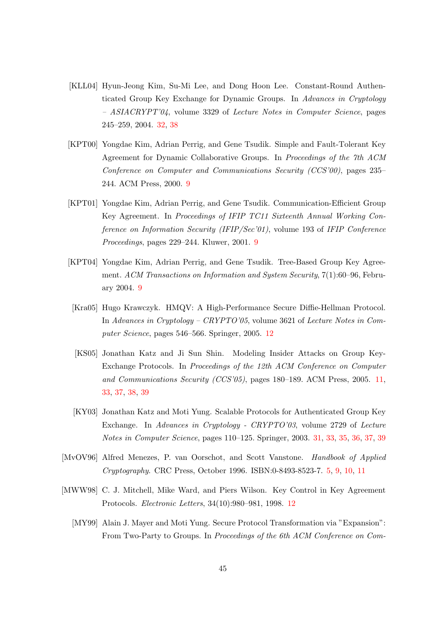- <span id="page-44-9"></span>[KLL04] Hyun-Jeong Kim, Su-Mi Lee, and Dong Hoon Lee. Constant-Round Authenticated Group Key Exchange for Dynamic Groups. In Advances in Cryptology – ASIACRYPT'04, volume 3329 of Lecture Notes in Computer Science, pages 245–259, 2004. [32,](#page-31-2) [38](#page-37-1)
- <span id="page-44-2"></span>[KPT00] Yongdae Kim, Adrian Perrig, and Gene Tsudik. Simple and Fault-Tolerant Key Agreement for Dynamic Collaborative Groups. In Proceedings of the 7th ACM Conference on Computer and Communications Security (CCS'00), pages 235– 244. ACM Press, 2000. [9](#page-8-0)
- <span id="page-44-3"></span>[KPT01] Yongdae Kim, Adrian Perrig, and Gene Tsudik. Communication-Efficient Group Key Agreement. In Proceedings of IFIP TC11 Sixteenth Annual Working Conference on Information Security (IFIP/Sec'01), volume 193 of IFIP Conference Proceedings, pages 229–244. Kluwer, 2001. [9](#page-8-0)
- <span id="page-44-4"></span>[KPT04] Yongdae Kim, Adrian Perrig, and Gene Tsudik. Tree-Based Group Key Agreement. ACM Transactions on Information and System Security, 7(1):60–96, February 2004. [9](#page-8-0)
- <span id="page-44-7"></span>[Kra05] Hugo Krawczyk. HMQV: A High-Performance Secure Diffie-Hellman Protocol. In Advances in Cryptology – CRYPTO'05, volume 3621 of Lecture Notes in Computer Science, pages 546–566. Springer, 2005. [12](#page-11-1)
- <span id="page-44-5"></span>[KS05] Jonathan Katz and Ji Sun Shin. Modeling Insider Attacks on Group Key-Exchange Protocols. In Proceedings of the 12th ACM Conference on Computer and Communications Security (CCS'05), pages 180–189. ACM Press, 2005. [11,](#page-10-2) [33,](#page-32-2) [37,](#page-36-0) [38,](#page-37-1) [39](#page-38-1)
- <span id="page-44-8"></span>[KY03] Jonathan Katz and Moti Yung. Scalable Protocols for Authenticated Group Key Exchange. In Advances in Cryptology - CRYPTO'03, volume 2729 of Lecture Notes in Computer Science, pages 110–125. Springer, 2003. [31,](#page-30-1) [33,](#page-32-2) [35,](#page-34-1) [36,](#page-35-1) [37,](#page-36-0) [39](#page-38-1)
- <span id="page-44-0"></span>[MvOV96] Alfred Menezes, P. van Oorschot, and Scott Vanstone. Handbook of Applied Cryptography. CRC Press, October 1996. ISBN:0-8493-8523-7. [5,](#page-4-1) [9,](#page-8-0) [10,](#page-9-1) [11](#page-10-2)
- <span id="page-44-6"></span><span id="page-44-1"></span>[MWW98] C. J. Mitchell, Mike Ward, and Piers Wilson. Key Control in Key Agreement Protocols. Electronic Letters, 34(10):980–981, 1998. [12](#page-11-1)
	- [MY99] Alain J. Mayer and Moti Yung. Secure Protocol Transformation via "Expansion": From Two-Party to Groups. In Proceedings of the 6th ACM Conference on Com-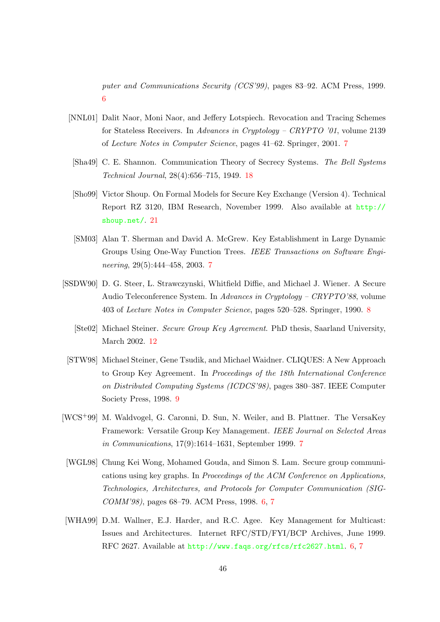puter and Communications Security (CCS'99), pages 83–92. ACM Press, 1999. [6](#page-5-1)

- <span id="page-45-3"></span>[NNL01] Dalit Naor, Moni Naor, and Jeffery Lotspiech. Revocation and Tracing Schemes for Stateless Receivers. In Advances in Cryptology – CRYPTO '01, volume 2139 of Lecture Notes in Computer Science, pages 41–62. Springer, 2001. [7](#page-6-2)
- <span id="page-45-8"></span>[Sha49] C. E. Shannon. Communication Theory of Secrecy Systems. The Bell Systems Technical Journal, 28(4):656–715, 1949. [18](#page-17-0)
- <span id="page-45-9"></span>[Sho99] Victor Shoup. On Formal Models for Secure Key Exchange (Version 4). Technical Report RZ 3120, IBM Research, November 1999. Also available at [http://](http://shoup.net/) [shoup.net/](http://shoup.net/). [21](#page-20-1)
- <span id="page-45-4"></span>[SM03] Alan T. Sherman and David A. McGrew. Key Establishment in Large Dynamic Groups Using One-Way Function Trees. IEEE Transactions on Software Engineering, 29(5):444–458, 2003. [7](#page-6-2)
- <span id="page-45-7"></span><span id="page-45-5"></span>[SSDW90] D. G. Steer, L. Strawczynski, Whitfield Diffie, and Michael J. Wiener. A Secure Audio Teleconference System. In Advances in Cryptology – CRYPTO'88, volume 403 of Lecture Notes in Computer Science, pages 520–528. Springer, 1990. [8](#page-7-2)
	- [Ste02] Michael Steiner. Secure Group Key Agreement. PhD thesis, Saarland University, March 2002. [12](#page-11-1)
- <span id="page-45-6"></span>[STW98] Michael Steiner, Gene Tsudik, and Michael Waidner. CLIQUES: A New Approach to Group Key Agreement. In Proceedings of the 18th International Conference on Distributed Computing Systems (ICDCS'98), pages 380–387. IEEE Computer Society Press, 1998. [9](#page-8-0)
- <span id="page-45-2"></span>[WCS+99] M. Waldvogel, G. Caronni, D. Sun, N. Weiler, and B. Plattner. The VersaKey Framework: Versatile Group Key Management. IEEE Journal on Selected Areas in Communications, 17(9):1614–1631, September 1999. [7](#page-6-2)
- <span id="page-45-0"></span>[WGL98] Chung Kei Wong, Mohamed Gouda, and Simon S. Lam. Secure group communications using key graphs. In Proceedings of the ACM Conference on Applications, Technologies, Architectures, and Protocols for Computer Communication (SIG-COMM'98), pages 68–79. ACM Press, 1998. [6,](#page-5-1) [7](#page-6-2)
- <span id="page-45-1"></span>[WHA99] D.M. Wallner, E.J. Harder, and R.C. Agee. Key Management for Multicast: Issues and Architectures. Internet RFC/STD/FYI/BCP Archives, June 1999. RFC 2627. Available at <http://www.faqs.org/rfcs/rfc2627.html>. [6,](#page-5-1) [7](#page-6-2)